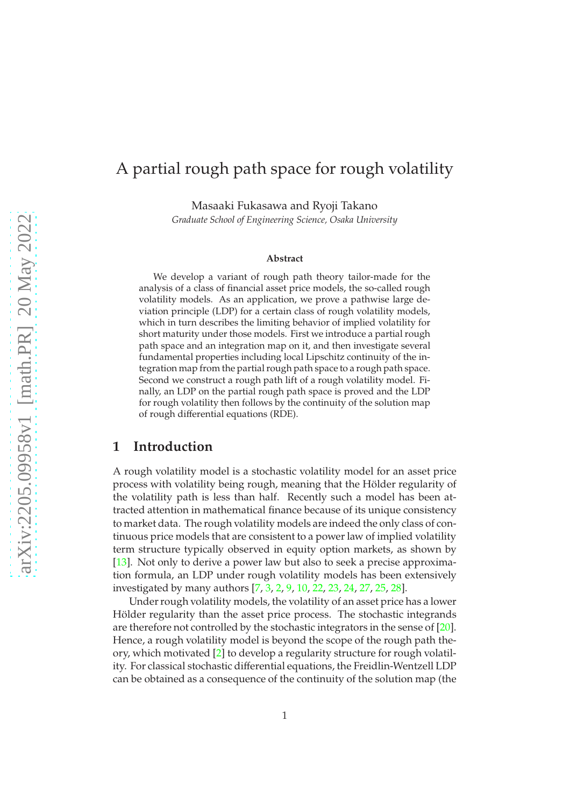# A partial rough path space for rough volatility

Masaaki Fukasawa and Ryoji Takano

*Graduate School of Engineering Science, Osaka University*

#### **Abstract**

We develop a variant of rough path theory tailor-made for the analysis of a class of financial asset price models, the so-called rough volatility models. As an application, we prove a pathwise large deviation principle (LDP) for a certain class of rough volatility models, which in turn describes the limiting behavior of implied volatility for short maturity under those models. First we introduce a partial rough path space and an integration map on it, and then investigate several fundamental properties including local Lipschitz continuity of the integration map from the partial rough path space to a rough path space. Second we construct a rough path lift of a rough volatility model. Finally, an LDP on the partial rough path space is proved and the LDP for rough volatility then follows by the continuity of the solution map of rough differential equations (RDE).

### **1 Introduction**

A rough volatility model is a stochastic volatility model for an asset price process with volatility being rough, meaning that the Hölder regularity of the volatility path is less than half. Recently such a model has been attracted attention in mathematical finance because of its unique consistency to market data. The rough volatility models are indeed the only class of continuous price models that are consistent to a power law of implied volatility term structure typically observed in equity option markets, as shown by [\[13\]](#page-39-0). Not only to derive a power law but also to seek a precise approximation formula, an LDP under rough volatility models has been extensively investigated by many authors [\[7,](#page-39-1) [3,](#page-39-2) [2,](#page-39-3) [9,](#page-39-4) [10,](#page-39-5) [22,](#page-40-0) [23,](#page-40-1) [24,](#page-40-2) [27,](#page-40-3) [25,](#page-40-4) [28\]](#page-40-5).

Under rough volatility models, the volatility of an asset price has a lower Hölder regularity than the asset price process. The stochastic integrands are therefore not controlled by the stochastic integrators in the sense of [\[20\]](#page-40-6). Hence, a rough volatility model is beyond the scope of the rough path theory, which motivated [\[2\]](#page-39-3) to develop a regularity structure for rough volatility. For classical stochastic differential equations, the Freidlin-Wentzell LDP can be obtained as a consequence of the continuity of the solution map (the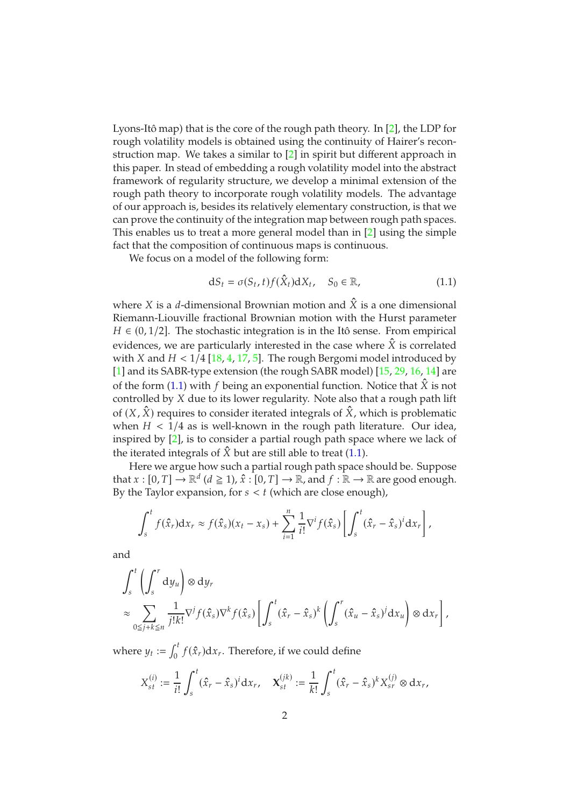Lyons-Itô map) that is the core of the rough path theory. In [\[2\]](#page-39-3), the LDP for rough volatility models is obtained using the continuity of Hairer's reconstruction map. We takes a similar to [\[2\]](#page-39-3) in spirit but different approach in this paper. In stead of embedding a rough volatility model into the abstract framework of regularity structure, we develop a minimal extension of the rough path theory to incorporate rough volatility models. The advantage of our approach is, besides its relatively elementary construction, is that we can prove the continuity of the integration map between rough path spaces. This enables us to treat a more general model than in [\[2\]](#page-39-3) using the simple fact that the composition of continuous maps is continuous.

We focus on a model of the following form:

<span id="page-1-0"></span>
$$
dS_t = \sigma(S_t, t) f(\hat{X}_t) dX_t, \quad S_0 \in \mathbb{R}, \tag{1.1}
$$

where X is a *d*-dimensional Brownian motion and  $\hat{X}$  is a one dimensional Riemann-Liouville fractional Brownian motion with the Hurst parameter  $H \in (0, 1/2]$ . The stochastic integration is in the Itô sense. From empirical evidences, we are particularly interested in the case where  $\hat{X}$  is correlated with X and  $H < 1/4$  [\[18,](#page-40-7) [4,](#page-39-6) [17,](#page-40-8) [5\]](#page-39-7). The rough Bergomi model introduced by [\[1\]](#page-38-0) and its SABR-type extension (the rough SABR model) [\[15,](#page-39-8) [29,](#page-40-9) [16,](#page-39-9) [14\]](#page-39-10) are of the form [\(1.1\)](#page-1-0) with f being an exponential function. Notice that  $\hat{X}$  is not controlled by X due to its lower regularity. Note also that a rough path lift of  $(X, \hat{X})$  requires to consider iterated integrals of  $\hat{X}$ , which is problematic when  $H < 1/4$  as is well-known in the rough path literature. Our idea, inspired by [\[2\]](#page-39-3), is to consider a partial rough path space where we lack of the iterated integrals of  $\hat{X}$  but are still able to treat [\(1.1\)](#page-1-0).

Here we argue how such a partial rough path space should be. Suppose that  $x : [0, T] \to \mathbb{R}^d$   $(d \ge 1)$ ,  $\hat{x} : [0, T] \to \mathbb{R}$ , and  $f : \mathbb{R} \to \mathbb{R}$  are good enough. By the Taylor expansion, for  $s < t$  (which are close enough),

$$
\int_s^t f(\hat{x}_r) \mathrm{d}x_r \approx f(\hat{x}_s)(x_t - x_s) + \sum_{i=1}^n \frac{1}{i!} \nabla^i f(\hat{x}_s) \left[ \int_s^t (\hat{x}_r - \hat{x}_s)^i \mathrm{d}x_r \right],
$$

and

$$
\int_{s}^{t} \left( \int_{s}^{r} dy_{u} \right) \otimes dy_{r}
$$
\n
$$
\approx \sum_{0 \leq j+k \leq n} \frac{1}{j!k!} \nabla^{j} f(\hat{x}_{s}) \nabla^{k} f(\hat{x}_{s}) \left[ \int_{s}^{t} (\hat{x}_{r} - \hat{x}_{s})^{k} \left( \int_{s}^{r} (\hat{x}_{u} - \hat{x}_{s})^{j} dx_{u} \right) \otimes dx_{r} \right],
$$

where  $y_t := \int_0^t$  $\int_0^{\infty} f(\hat{x}_r) dx_r$ . Therefore, if we could define

$$
X_{st}^{(i)} := \frac{1}{i!} \int_s^t (\hat{x}_r - \hat{x}_s)^i dx_r, \quad \mathbf{X}_{st}^{(jk)} := \frac{1}{k!} \int_s^t (\hat{x}_r - \hat{x}_s)^k X_{sr}^{(j)} \otimes dx_r,
$$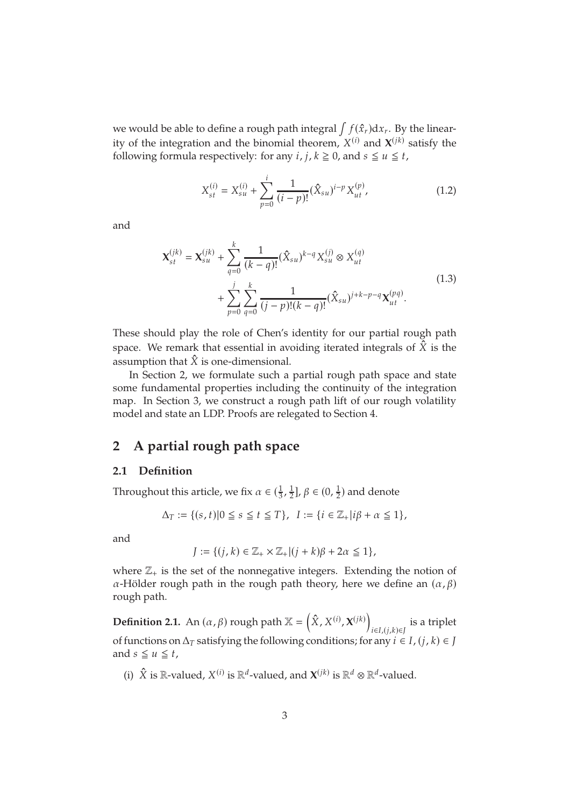we would be able to define a rough path integral  $\int f(\hat{x}_r) \mathrm{d} x_r$ . By the linearity of the integration and the binomial theorem,  $X^{(i)}$  and  $\mathbf{X}^{(jk)}$  satisfy the following formula respectively: for any  $i, j, k \ge 0$ , and  $s \le u \le t$ ,

<span id="page-2-0"></span>
$$
X_{st}^{(i)} = X_{su}^{(i)} + \sum_{p=0}^{i} \frac{1}{(i-p)!} (\hat{X}_{su})^{i-p} X_{ut}^{(p)},
$$
\n(1.2)

<span id="page-2-1"></span>and

$$
\mathbf{X}_{st}^{(jk)} = \mathbf{X}_{su}^{(jk)} + \sum_{q=0}^{k} \frac{1}{(k-q)!} (\hat{X}_{su})^{k-q} X_{su}^{(j)} \otimes X_{ut}^{(q)}
$$
  
+ 
$$
\sum_{p=0}^{j} \sum_{q=0}^{k} \frac{1}{(j-p)!(k-q)!} (\hat{X}_{su})^{j+k-p-q} \mathbf{X}_{ut}^{(pq)}.
$$
 (1.3)

These should play the role of Chen's identity for our partial rough path space. We remark that essential in avoiding iterated integrals of  $\hat{X}$  is the assumption that  $\hat{X}$  is one-dimensional.

In Section 2, we formulate such a partial rough path space and state some fundamental properties including the continuity of the integration map. In Section 3, we construct a rough path lift of our rough volatility model and state an LDP. Proofs are relegated to Section 4.

# **2 A partial rough path space**

#### **2.1 Definition**

Throughout this article, we fix  $\alpha \in (\frac{1}{3}, \frac{1}{2})$  $\frac{1}{2}$ ],  $\beta \in (0, \frac{1}{2})$  $\frac{1}{2}$ ) and denote

$$
\Delta_T:=\{(s,t)|0\leqq s\leqq t\leqq T\},\ \ I:=\{i\in\mathbb{Z}_+|i\beta+\alpha\leqq 1\},
$$

and

$$
J := \{ (j,k) \in \mathbb{Z}_+ \times \mathbb{Z}_+ | (j+k)\beta + 2\alpha \le 1 \},\
$$

where  $\mathbb{Z}_+$  is the set of the nonnegative integers. Extending the notion of  $\alpha$ -Hölder rough path in the rough path theory, here we define an  $(\alpha, \beta)$ rough path.

**Definition 2.1.** An  $(\alpha, \beta)$  rough path  $\mathbb{X} = (\hat{X}, X^{(i)}, X^{(jk)})$ i∈I,(j,k)∈J is a triplet of functions on  $\Delta_T$  satisfying the following conditions; for any  $i \in I$ ,  $(j, k) \in J$ and  $s \le u \le t$ .

(i)  $\hat{X}$  is  $\mathbb{R}$ -valued,  $X^{(i)}$  is  $\mathbb{R}^d$ -valued, and  $\mathbf{X}^{(jk)}$  is  $\mathbb{R}^d \otimes \mathbb{R}^d$ -valued.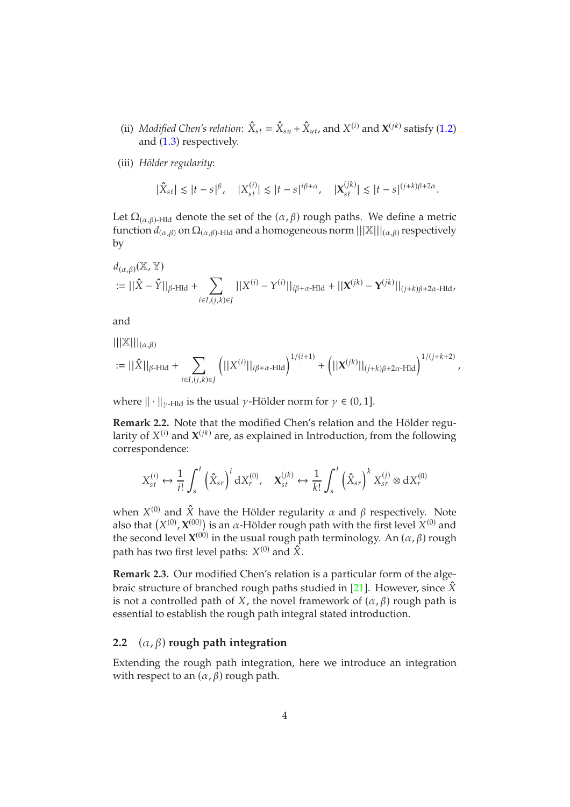- (ii) *Modified Chen's relation*:  $\hat{X}_{st} = \hat{X}_{su} + \hat{X}_{ut}$ , and  $X^{(i)}$  and  $X^{(jk)}$  satisfy (1.[2\)](#page-2-0) and (1.[3\)](#page-2-1) respectively.
- (iii) *Hölder regularity*:

$$
|\hat{X}_{st}| \le |t-s|^{\beta}, \quad |X_{st}^{(i)}| \le |t-s|^{i\beta+\alpha}, \quad |\mathbf{X}_{st}^{(jk)}| \le |t-s|^{(j+k)\beta+2\alpha}.
$$

Let  $\Omega_{(\alpha,\beta)}$ -Hld denote the set of the  $(\alpha,\beta)$  rough paths. We define a metric function  $d_{(\alpha,\beta)}$  on  $\Omega_{(\alpha,\beta)}$ -Hld and a homogeneous norm  $|||X|||_{(\alpha,\beta)}$  respectively by

$$
d_{(\alpha,\beta)}(\mathbb{X},\mathbb{Y})
$$
  
:=  $||\hat{X} - \hat{Y}||_{\beta\text{-Hld}} + \sum_{i\in I,(j,k)\in J}||X^{(i)} - Y^{(i)}||_{i\beta+\alpha\text{-Hld}} + ||\mathbf{X}^{(jk)} - \mathbf{Y}^{(jk)}||_{(j+k)\beta+2\alpha\text{-Hld}}$ 

and

 $|||\mathbb{X}|||_{(\alpha,\beta)}$ 

$$
:= ||\hat{X}||_{\beta\text{-Hld}} + \sum_{i\in I, (j,k)\in J}\left(||X^{(i)}||_{i\beta+\alpha\text{-Hld}}\right)^{1/(i+1)} + \left(||X^{(jk)}||_{(j+k)\beta+2\alpha\text{-Hld}}\right)^{1/(j+k+2)},
$$

where  $\|\cdot\|_{\gamma$ -Hd is the usual  $\gamma$ -Hölder norm for  $\gamma \in (0, 1]$ .

**Remark 2.2.** Note that the modified Chen's relation and the Hölder regularity of  $X^{(i)}$  and  $\boldsymbol{\chi}^{(jk)}$  are, as explained in Introduction, from the following correspondence:

$$
X_{st}^{(i)} \leftrightarrow \frac{1}{i!} \int_s^t \left(\hat{X}_{sr}\right)^i dX_r^{(0)}, \quad \mathbf{X}_{st}^{(jk)} \leftrightarrow \frac{1}{k!} \int_s^t \left(\hat{X}_{sr}\right)^k X_{sr}^{(j)} \otimes dX_r^{(0)}
$$

when  $X^{(0)}$  and  $\hat{X}$  have the Hölder regularity  $\alpha$  and  $\beta$  respectively. Note also that  $(X^{(0)}, X^{(00)})$  is an  $\alpha$ -Hölder rough path with the first level  $X^{(0)}$  and the second level  $\mathbf{X}^{(00)}$  in the usual rough path terminology. An  $(\alpha, \beta)$  rough path has two first level paths:  $X^{(0)}$  and  $\hat{X}.$ 

**Remark 2.3.** Our modified Chen's relation is a particular form of the alge-braic structure of branched rough paths studied in [\[21\]](#page-40-10). However, since  $\hat{X}$ is not a controlled path of X, the novel framework of  $(\alpha, \beta)$  rough path is essential to establish the rough path integral stated introduction.

#### **2.2**  $(\alpha, \beta)$  rough path integration

Extending the rough path integration, here we introduce an integration with respect to an  $(\alpha, \beta)$  rough path.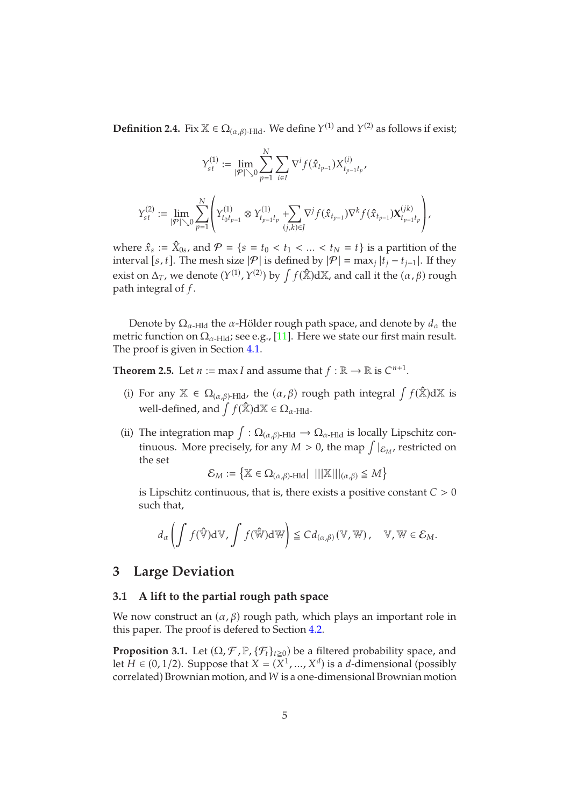**Definition 2.4.** Fix  $\mathbb{X} \in \Omega_{(\alpha,\beta)}$ -Hld. We define  $Y^{(1)}$  and  $Y^{(2)}$  as follows if exist;

$$
\begin{aligned} Y_{st}^{(1)} &:= \lim_{|\mathcal{P}| \searrow 0} \sum_{p=1}^N \sum_{i \in I} \nabla^i f(\hat{x}_{t_{p-1}}) X_{t_{p-1}t_p}^{(i)}, \\ Y_{st}^{(2)} &:= \lim_{|\mathcal{P}| \searrow 0} \sum_{p=1}^N \left(Y_{t_0t_{p-1}}^{(1)} \otimes Y_{t_{p-1}t_p}^{(1)} + \sum_{(j,k) \in J} \nabla^j f(\hat{x}_{t_{p-1}}) \nabla^k f(\hat{x}_{t_{p-1}}) \mathbf{X}_{t_{p-1}t_p}^{(jk)}\right), \end{aligned}
$$

where  $\hat{x}_s := \hat{X}_{0s}$ , and  $\mathcal{P} = \{s = t_0 < t_1 < ... < t_N = t\}$  is a partition of the interval [*s*, *t*]. The mesh size  $|\mathcal{P}|$  is defined by  $|\mathcal{P}| = \max_j |t_j - t_{j-1}|$ . If they exist on  $\Delta_T$ , we denote  $(Y^{(1)}, Y^{(2)})$  by  $\int f(\hat{\mathbb{X}}) d\mathbb{X}$ , and call it the  $(\alpha, \beta)$  rough path integral of  $f$ .

Denote by  $\Omega_{\alpha}$ -Hid the  $\alpha$ -Hölder rough path space, and denote by  $d_{\alpha}$  the metric function on  $\Omega_{\alpha$ -Hld; see e.g., [\[11\]](#page-39-11). Here we state our first main result. The proof is given in Section [4.1.](#page-8-0)

<span id="page-4-1"></span>**Theorem 2.5.** Let  $n := \max I$  and assume that  $f : \mathbb{R} \to \mathbb{R}$  is  $C^{n+1}$ .

- (i) For any  $\mathbb{X} \in \Omega_{(\alpha,\beta)\text{-Hld}}$ , the  $(\alpha,\beta)$  rough path integral  $\int f(\hat{\mathbb{X}})d\mathbb{X}$  is well-defined, and  $\int f(\hat{\mathbb{X}})d\mathbb{X} \in \Omega_{\alpha$ -Hld.
- (ii) The integration map  $\int : \Omega_{(\alpha,\beta)}$ -Hld  $\rightarrow \Omega_{\alpha}$ -Hld is locally Lipschitz continuous. More precisely, for any  $M > 0$ , the map  $\int_{\mathcal{E}_M}$ , restricted on the set

$$
\mathcal{E}_M:=\left\{\mathbb{X}\in \Omega_{(\alpha,\beta)\text{-Hld}}\,|\,\,|||\mathbb{X}|||_{(\alpha,\beta)}\leqq M\right\}
$$

is Lipschitz continuous, that is, there exists a positive constant  $C > 0$ such that,

$$
d_{\alpha}\left(\int f(\hat{\mathbb{V}}) d\mathbb{V}, \int f(\hat{\mathbb{W}}) d\mathbb{W}\right) \leq C d_{(\alpha,\beta)}(\mathbb{V}, \mathbb{W}), \quad \mathbb{V}, \mathbb{W} \in \mathcal{E}_M.
$$

### **3 Large Deviation**

#### **3.1 A lift to the partial rough path space**

We now construct an  $(\alpha, \beta)$  rough path, which plays an important role in this paper. The proof is defered to Section [4.2.](#page-19-0)

<span id="page-4-0"></span>**Proposition 3.1.** Let  $(\Omega, \mathcal{F}, \mathbb{P}, \{\mathcal{F}_t\}_{t \geq 0})$  be a filtered probability space, and let  $H \in (0, 1/2)$ . Suppose that  $X = (X^1, ..., X^d)$  is a *d*-dimensional (possibly correlated) Brownian motion, and W is a one-dimensional Brownian motion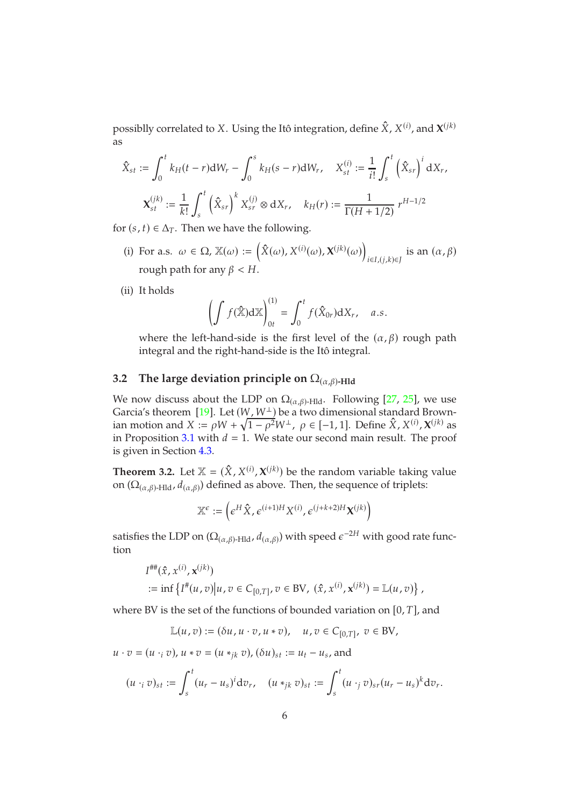possiblly correlated to X. Using the Itô integration, define  $\hat{X}$ ,  $X^{(i)}$ , and  $\boldsymbol{X}^{(jk)}$ as

$$
\hat{X}_{st} := \int_0^t k_H(t-r)dW_r - \int_0^s k_H(s-r)dW_r, \quad X_{st}^{(i)} := \frac{1}{i!} \int_s^t (\hat{X}_{sr})^i dX_r,
$$

$$
\mathbf{X}_{st}^{(jk)} := \frac{1}{k!} \int_s^t (\hat{X}_{sr})^k X_{sr}^{(j)} \otimes dX_r, \quad k_H(r) := \frac{1}{\Gamma(H+1/2)} r^{H-1/2}
$$

for  $(s, t) \in \Delta_T$ . Then we have the following.

- (i) For a.s.  $\omega \in \Omega$ ,  $\mathbb{X}(\omega) := \left( \hat{X}(\omega), X^{(i)}(\omega), \mathbf{X}^{(jk)}(\omega) \right)$  $\overline{1}$  $_{i\in I,(j,k)\in J}$  is an  $(\alpha, \beta)$ rough path for any  $\beta < H$ .
- (ii) It holds

$$
\left(\int f(\hat{\mathbf{x}})\mathrm{d}\mathbf{x}\right)_{0t}^{(1)} = \int_0^t f(\hat{\mathbf{x}}_{0r})\mathrm{d}X_r, \quad a.s.
$$

where the left-hand-side is the first level of the  $(\alpha, \beta)$  rough path integral and the right-hand-side is the Itô integral.

#### **3.2** The large deviation principle on  $\Omega_{(\alpha,\beta)}$ -Hld

We now discuss about the LDP on  $\Omega_{(\alpha,\beta)}$ -Hld. Following [\[27,](#page-40-3) [25\]](#page-40-4), we use Garcia's theorem [\[19\]](#page-40-11). Let  $(W, W^{\perp})$  be a two dimensional standard Brownian motion and  $X := \rho W + \sqrt{1 - \rho^2} W^{\perp}$ ,  $\rho \in [-1, 1]$ . Define  $\hat{X}, X^{(i)}$ ,  $\mathbf{X}^{(j_k)}$  as in Proposition [3.1](#page-4-0) with  $d = 1$ . We state our second main result. The proof is given in Section [4.3.](#page-21-0)

<span id="page-5-0"></span>**Theorem 3.2.** Let  $\mathbb{X} = (\hat{X}, X^{(i)}, X^{(jk)})$  be the random variable taking value on  $(\Omega_{(\alpha,\beta)\text{-Hld}},d_{(\alpha,\beta)})$  defined as above. Then, the sequence of triplets:

$$
\mathbb{X}^{\epsilon}:=\left(\epsilon^{H}\hat{X},\epsilon^{(i+1)H}X^{(i)},\epsilon^{(j+k+2)H}X^{(jk)}\right)
$$

satisfies the LDP on  $(\Omega_{(\alpha,\beta)\text{-Hld}},d_{(\alpha,\beta)})$  with speed  $\epsilon^{-2H}$  with good rate function

$$
I^{\# \#}(\hat{x}, x^{(i)}, \mathbf{x}^{(jk)})
$$
  
 := inf  $\{I^{\#}(u, v) | u, v \in C_{[0,T]}, v \in BV, (\hat{x}, x^{(i)}, \mathbf{x}^{(jk)}) = \mathbb{L}(u, v)\},$ 

where BV is the set of the functions of bounded variation on  $[0, T]$ , and

$$
\mathbb{L}(u,v):=(\delta u,u\cdot v,u\ast v),\quad u,v\in C_{[0,T]},\;v\in \text{BV},
$$

 $u \cdot v = (u \cdot_i v), u * v = (u *_{jk} v), (\delta u)_{st} := u_t - u_s$ , and

$$
(u \cdot_i v)_{st} := \int_s^t (u_r - u_s)^i dv_r, \quad (u *_{jk} v)_{st} := \int_s^t (u \cdot_j v)_{st} (u_r - u_s)^k dv_r.
$$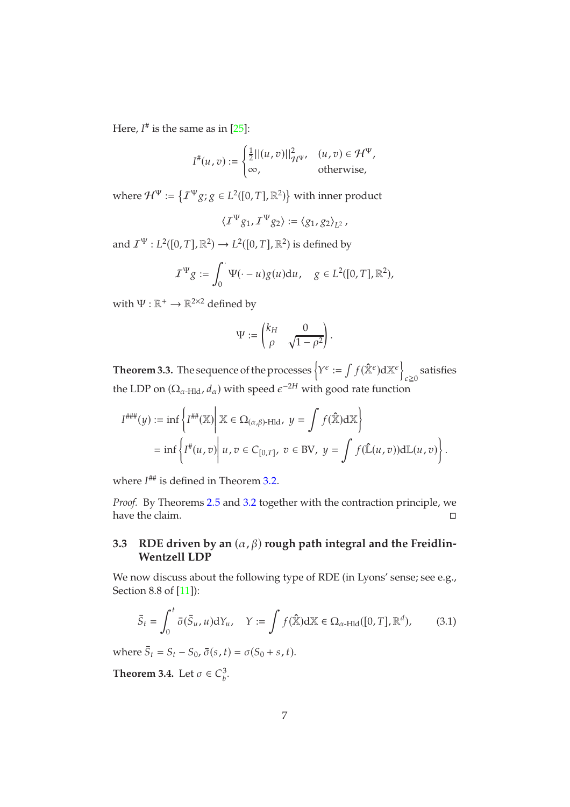Here,  $I^{\#}$  is the same as in [\[25\]](#page-40-4):

$$
I^{\#}(u,v) := \begin{cases} \frac{1}{2}||(u,v)||_{\mathcal{H}^{\Psi}}^2, & (u,v) \in \mathcal{H}^{\Psi}, \\ \infty, & \text{otherwise}, \end{cases}
$$

where  $\mathcal{H}^{\Psi} \coloneqq \left\{ \mathcal{I}^{\Psi} g; g \in L^2([0,T], \mathbb{R}^2) \right\}$  with inner product

$$
\langle \mathcal{I}^{\Psi} g_1, \mathcal{I}^{\Psi} g_2 \rangle := \langle g_1, g_2 \rangle_{L^2},
$$

and  $\mathcal{I}^{\Psi}: L^2([0,T], \mathbb{R}^2) \to L^2([0,T], \mathbb{R}^2)$  is defined by

$$
\mathcal{I}^{\Psi} g := \int_0^{\cdot} \Psi(\cdot - u) g(u) \mathrm{d}u, \quad g \in L^2([0, T], \mathbb{R}^2),
$$

with  $\Psi : \mathbb{R}^+ \to \mathbb{R}^{2 \times 2}$  defined by

$$
\Psi := \begin{pmatrix} k_H & 0 \\ \rho & \sqrt{1 - \rho^2} \end{pmatrix}.
$$

<span id="page-6-2"></span>**Theorem 3.3.** The sequence of the processes  $\left\{Y^{\epsilon} := \int f(\hat{\mathbb{X}}^{\epsilon}) d \mathbb{X}^{\epsilon}\right\}$ satisfies<br> $\varepsilon \ge 0$ the LDP on  $(\Omega_{\alpha\text{-Hld}}, d_{\alpha})$  with speed  $\epsilon^{-2H}$  with good rate function

$$
I^{\text{HHH}}(y) := \inf \left\{ I^{\text{HH}}(\mathbb{X}) \middle| \ \mathbb{X} \in \Omega_{(\alpha,\beta)\text{-Hld}}, \ y = \int f(\hat{\mathbb{X}}) d\mathbb{X} \right\}
$$
  
= 
$$
\inf \left\{ I^{\text{H}}(u,v) \middle| \ u,v \in C_{[0,T]}, \ v \in BV, \ y = \int f(\hat{\mathbb{L}}(u,v)) d\mathbb{L}(u,v) \right\}.
$$

where  $I^{\# \#}$  is defined in Theorem 3.[2.](#page-5-0)

*Proof.* By Theorems [2](#page-4-1).5 and [3.2](#page-5-0) together with the contraction principle, we have the claim.

### 3.3 RDE driven by an  $(\alpha, \beta)$  rough path integral and the Freidlin-**Wentzell LDP**

We now discuss about the following type of RDE (in Lyons' sense; see e.g., Section 8.8 of [\[11\]](#page-39-11)):

<span id="page-6-0"></span>
$$
\bar{S}_t = \int_0^t \bar{\sigma}(\bar{S}_u, u) dY_u, \quad Y := \int f(\hat{\mathbb{X}}) d\mathbb{X} \in \Omega_{\alpha \text{-Hld}}([0, T], \mathbb{R}^d), \quad (3.1)
$$

where  $\bar{S}_t = S_t - S_0$ ,  $\bar{\sigma}(s, t) = \sigma(S_0 + s, t)$ .

<span id="page-6-1"></span>**Theorem 3.4.** Let  $\sigma \in C_b^3$ s<br>b.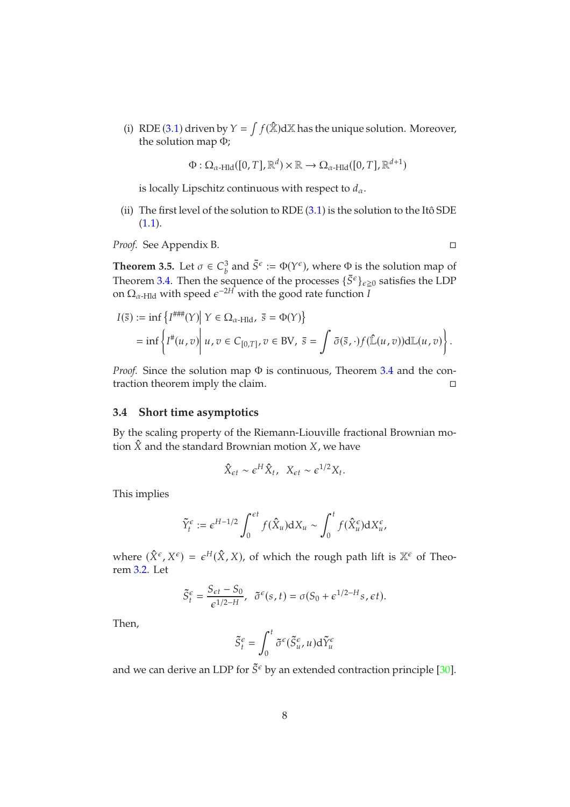(i) RDE ([3](#page-6-0).1) driven by  $Y = \int f(\hat{\mathbb{X}}) d\mathbb{X}$  has the unique solution. Moreover, the solution map Φ;

$$
\Phi : \Omega_{\alpha\text{-Hld}}([0,T],\mathbb{R}^d) \times \mathbb{R} \to \Omega_{\alpha\text{-Hld}}([0,T],\mathbb{R}^{d+1})
$$

is locally Lipschitz continuous with respect to  $d_{\alpha}$ .

(ii) The first level of the solution to RDE  $(3.1)$  is the solution to the Itô SDE  $(1.1).$  $(1.1).$  $(1.1).$ 

*Proof.* See Appendix B.

**Theorem 3.5.** Let  $\sigma \in C_b^3$  $\delta_b^3$  and  $\bar{S}^{\epsilon} := \Phi(Y^{\epsilon})$ , where  $\Phi$  is the solution map of Theorem [3.4.](#page-6-1) Then the sequence of the processes  $\{\bar{S}^{\epsilon}\}_{\epsilon \geq 0}$  satisfies the LDP on  $\Omega_{\alpha\text{-Hld}}$  with speed  $\epsilon^{-2H}$  with the good rate function  $I$ 

$$
I(\bar{s}) := \inf \left\{ I^{\# \# \#}(Y) \middle| Y \in \Omega_{\alpha \text{-Hld}}, \ \bar{s} = \Phi(Y) \right\}
$$
  
= 
$$
\inf \left\{ I^{\#}(u,v) \middle| u, v \in C_{[0,T]}, v \in BV, \ \bar{s} = \int \bar{\sigma}(\bar{s},\cdot) f(\hat{\mathbb{L}}(u,v)) d\mathbb{L}(u,v) \right\}.
$$

*Proof.* Since the solution map  $\Phi$  is continuous, Theorem [3.4](#page-6-1) and the contraction theorem imply the claim.

#### **3.4 Short time asymptotics**

By the scaling property of the Riemann-Liouville fractional Brownian motion  $\hat{X}$  and the standard Brownian motion  $X$ , we have

$$
\hat{X}_{\epsilon t} \sim \epsilon^H \hat{X}_t, \ \ X_{\epsilon t} \sim \epsilon^{1/2} X_t.
$$

This implies

$$
\tilde{Y}_t^{\epsilon} := \epsilon^{H-1/2} \int_0^{\epsilon t} f(\hat{X}_u) dX_u \sim \int_0^t f(\hat{X}_u^{\epsilon}) dX_u^{\epsilon},
$$

where  $(\hat{X}^{\epsilon}, X^{\epsilon}) = \epsilon^{H}(\hat{X}, X)$ , of which the rough path lift is  $\mathbb{X}^{\epsilon}$  of Theorem [3.2.](#page-5-0) Let

$$
\tilde{S}_t^\epsilon = \frac{S_{\epsilon t}-S_0}{\epsilon^{1/2-H}},\;\; \tilde{\sigma}^\epsilon(s,t) = \sigma(S_0+\epsilon^{1/2-H}s,\epsilon t).
$$

Then,

$$
\tilde{S}_t^{\epsilon} = \int_0^t \tilde{\sigma}^{\epsilon}(\tilde{S}_u^{\epsilon}, u) d\tilde{Y}_u^{\epsilon}
$$

and we can derive an LDP for  $\tilde{S}^{\epsilon}$  by an extended contraction principle [\[30\]](#page-40-12).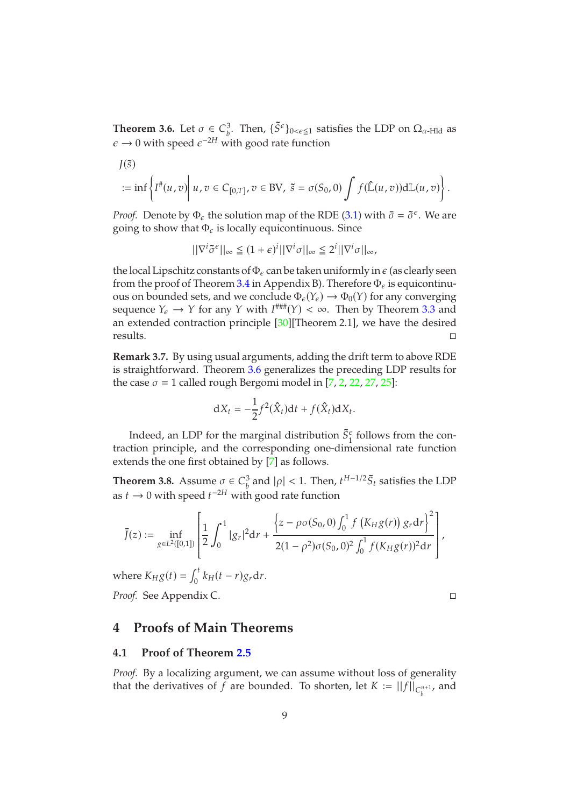<span id="page-8-1"></span>**Theorem 3.6.** Let  $\sigma \in C_b^3$  $\frac{3}{b}$ . Then,  $\{\tilde{S}^{\epsilon}\}_{0 \leq \epsilon \leq 1}$  satisfies the LDP on  $\Omega_{\alpha}$ -<sub>Hld</sub> as  $\epsilon \rightarrow 0$  with speed  $\epsilon^{-2H}$  with good rate function

$$
J(\tilde{s})
$$
  
 := inf  $\left\{ I^*(u, v) \middle| u, v \in C_{[0,T]}, v \in BV, \ \tilde{s} = \sigma(S_0, 0) \int f(\hat{\mathbb{L}}(u, v)) d\mathbb{L}(u, v) \right\}.$ 

*Proof.* Denote by  $\Phi_{\epsilon}$  the solution map of the RDE [\(3.1\)](#page-6-0) with  $\bar{\sigma} = \tilde{\sigma}^{\epsilon}$ . We are going to show that  $\Phi_{\epsilon}$  is locally equicontinuous. Since

$$
||\nabla^{i}\tilde{\sigma}^{\epsilon}||_{\infty} \leq (1+\epsilon)^{i}||\nabla^{i}\sigma||_{\infty} \leq 2^{i}||\nabla^{i}\sigma||_{\infty},
$$

the local Lipschitz constants of  $\Phi_{\epsilon}$  can be taken uniformly in  $\epsilon$  (as clearly seen from the proof of Theorem [3.4](#page-6-1) in Appendix B). Therefore  $\Phi_{\epsilon}$  is equicontinuous on bounded sets, and we conclude  $\Phi_{\epsilon}(Y_{\epsilon}) \to \Phi_0(Y)$  for any converging sequence  $Y_{\epsilon} \to Y$  for any Y with  $I^{\# \#}(Y) < \infty$ . Then by Theorem [3.3](#page-6-2) and an extended contraction principle [\[30\]](#page-40-12)[Theorem 2.1], we have the desired  $\Box$  results.

**Remark 3.7.** By using usual arguments, adding the drift term to above RDE is straightforward. Theorem [3.6](#page-8-1) generalizes the preceding LDP results for the case  $\sigma = 1$  called rough Bergomi model in [\[7,](#page-39-1) [2,](#page-39-3) [22,](#page-40-0) [27,](#page-40-3) [25\]](#page-40-4):

$$
dX_t = -\frac{1}{2}f^2(\hat{X}_t)dt + f(\hat{X}_t)dX_t.
$$

Indeed, an LDP for the marginal distribution  $\tilde{S}_1^{\epsilon}$  follows from the contraction principle, and the corresponding one-dimensional rate function extends the one first obtained by [\[7\]](#page-39-1) as follows.

<span id="page-8-2"></span>**Theorem 3.8.** Assume  $\sigma \in C_b^3$  $\frac{3}{b}$  and  $|\rho|$  < 1. Then,  $t^{H-1/2} \bar{S}_t$  satisfies the LDP as  $t \to 0$  with speed  $t^{-2H}$  with good rate function

$$
\bar{J}(z) := \inf_{g \in L^2([0,1])} \left[ \frac{1}{2} \int_0^1 |g_r|^2 dr + \frac{\left\{z - \rho \sigma(S_0,0) \int_0^1 f\left(K_H g(r)\right) g_r dr\right\}^2}{2(1-\rho^2) \sigma(S_0,0)^2 \int_0^1 f(K_H g(r))^2 dr} \right],
$$

where  $K_H g(t) = \int_0^t$  $\int_0^t k_H(t-r)g_r dr$ . *Proof.* See Appendix C.

### <span id="page-8-0"></span>**4 Proofs of Main Theorems**

#### **4.1 Proof of Theorem [2.5](#page-4-1)**

*Proof.* By a localizing argument, we can assume without loss of generality that the derivatives of  $f$  are bounded. To shorten, let  $K := ||f||_{C_b^{n+1}}$ , and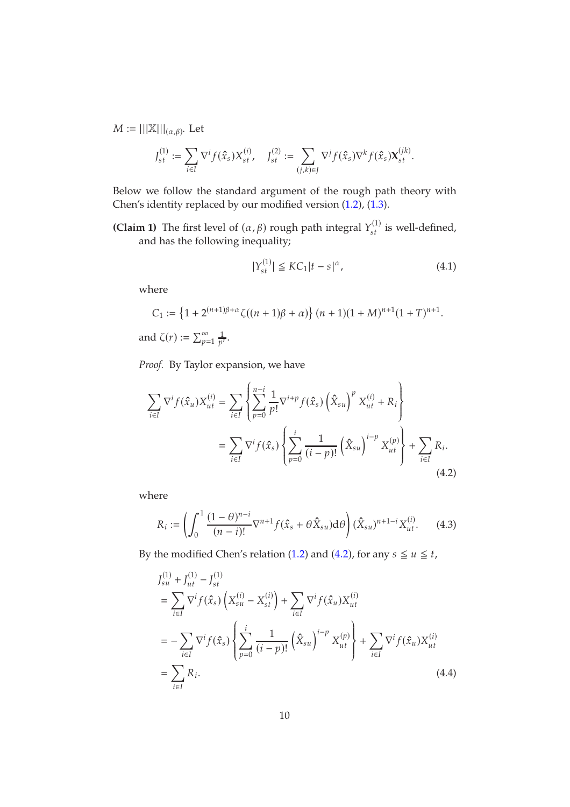$M := |||X|||_{(\alpha,\beta)}$ . Let

$$
J_{st}^{(1)} := \sum_{i \in I} \nabla^i f(\hat{x}_s) X_{st}^{(i)}, \quad J_{st}^{(2)} := \sum_{(j,k) \in J} \nabla^j f(\hat{x}_s) \nabla^k f(\hat{x}_s) \mathbf{X}_{st}^{(jk)}.
$$

Below we follow the standard argument of the rough path theory with Chen's identity replaced by our modified version [\(1.2\)](#page-2-0), [\(1.3\)](#page-2-1).

**(Claim 1)** The first level of  $(\alpha, \beta)$  rough path integral  $Y_{st}^{(1)}$  is well-defined, and has the following inequality;

<span id="page-9-1"></span><span id="page-9-0"></span>
$$
|Y_{st}^{(1)}| \leq KC_1 |t - s|^{\alpha}, \tag{4.1}
$$

where

$$
C_1 := \left\{ 1 + 2^{(n+1)\beta + \alpha} \zeta((n+1)\beta + \alpha) \right\} (n+1)(1+M)^{n+1} (1+T)^{n+1}.
$$
  
and  $\zeta(r) := \sum_{p=1}^{\infty} \frac{1}{p^r}.$ 

*Proof.* By Taylor expansion, we have

$$
\sum_{i \in I} \nabla^i f(\hat{x}_u) X_{ut}^{(i)} = \sum_{i \in I} \left\{ \sum_{p=0}^{n-i} \frac{1}{p!} \nabla^{i+p} f(\hat{x}_s) \left( \hat{X}_{su} \right)^p X_{ut}^{(i)} + R_i \right\}
$$
  

$$
= \sum_{i \in I} \nabla^i f(\hat{x}_s) \left\{ \sum_{p=0}^i \frac{1}{(i-p)!} \left( \hat{X}_{su} \right)^{i-p} X_{ut}^{(p)} \right\} + \sum_{i \in I} R_i.
$$
  
(4.2)

where

<span id="page-9-2"></span>
$$
R_i := \left( \int_0^1 \frac{(1-\theta)^{n-i}}{(n-i)!} \nabla^{n+1} f(\hat{x}_s + \theta \hat{X}_{su}) d\theta \right) (\hat{X}_{su})^{n+1-i} X_{ut}^{(i)}.
$$
 (4.3)

By the modified Chen's relation [\(1](#page-2-0).2) and ([4](#page-9-0).2), for any  $s \le u \le t$ ,

<span id="page-9-3"></span>
$$
J_{su}^{(1)} + J_{ut}^{(1)} - J_{st}^{(1)}
$$
  
= 
$$
\sum_{i \in I} \nabla^i f(\hat{x}_s) \left( X_{su}^{(i)} - X_{st}^{(i)} \right) + \sum_{i \in I} \nabla^i f(\hat{x}_u) X_{ut}^{(i)}
$$
  
= 
$$
-\sum_{i \in I} \nabla^i f(\hat{x}_s) \left\{ \sum_{p=0}^i \frac{1}{(i-p)!} \left( \hat{X}_{su} \right)^{i-p} X_{ut}^{(p)} \right\} + \sum_{i \in I} \nabla^i f(\hat{x}_u) X_{ut}^{(i)}
$$
  
= 
$$
\sum_{i \in I} R_i.
$$
 (4.4)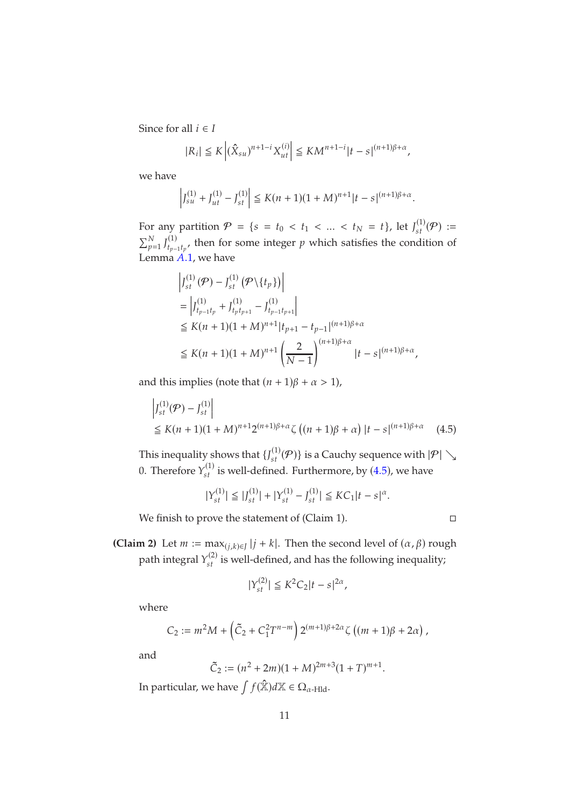Since for all  $i \in I$ 

$$
|R_i| \le K \left| (\hat{X}_{su})^{n+1-i} X_{ut}^{(i)} \right| \le KM^{n+1-i} |t-s|^{(n+1)\beta + \alpha},
$$

we have

$$
\left|J_{su}^{(1)} + J_{ut}^{(1)} - J_{st}^{(1)}\right| \le K(n+1)(1+M)^{n+1}|t-s|^{(n+1)\beta+\alpha}.
$$

For any partition  $P = \{s = t_0 < t_1 < ... < t_N = t\}$ , let  $J_{st}^{(1)}(P) :=$  $\sum_{p=1}^{N} J_{t_{p-1}}^{(1)}$  $_{t_{p-1}t_p}^{(1)}$ , then for some integer  $p$  which satisfies the condition of Lemma  $\ddot{A}$ .1, we have

$$
\left| J_{st}^{(1)}(\mathcal{P}) - J_{st}^{(1)}(\mathcal{P} \setminus \{t_p\}) \right|
$$
\n
$$
= \left| J_{t_{p-1}t_p}^{(1)} + J_{t_p t_{p+1}}^{(1)} - J_{t_{p-1}t_{p+1}}^{(1)} \right|
$$
\n
$$
\leq K(n+1)(1+M)^{n+1} |t_{p+1} - t_{p-1}|^{(n+1)\beta + \alpha}
$$
\n
$$
\leq K(n+1)(1+M)^{n+1} \left( \frac{2}{N-1} \right)^{(n+1)\beta + \alpha} |t-s|^{(n+1)\beta + \alpha},
$$

and this implies (note that  $(n + 1)\beta + \alpha > 1$ ),

$$
\left| J_{st}^{(1)}(\mathcal{P}) - J_{st}^{(1)} \right|
$$
  
\n
$$
\leq K(n+1)(1+M)^{n+1}2^{(n+1)\beta+\alpha}\zeta((n+1)\beta+\alpha)\left| t - s\right|^{(n+1)\beta+\alpha} (4.5)
$$

This inequality shows that  $\{J_{st}^{(1)}(\mathcal{P})\}$  is a Cauchy sequence with  $|\mathcal{P}| \searrow$ 0. Therefore  $Y_{st}^{(1)}$  is well-defined. Furthermore, by ([4](#page-10-0).5), we have

$$
|Y_{st}^{(1)}| \leq |J_{st}^{(1)}| + |Y_{st}^{(1)} - J_{st}^{(1)}| \leq KC_1 |t - s|^{\alpha}.
$$

We finish to prove the statement of (Claim 1).

<span id="page-10-0"></span>
$$
\Box
$$

**(Claim 2)** Let  $m := \max_{(j,k)\in J} |j+k|$ . Then the second level of  $(\alpha, \beta)$  rough path integral  $Y_{st}^{(2)}$  is well-defined, and has the following inequality;

$$
|Y_{st}^{(2)}| \le K^2 C_2 |t - s|^{2\alpha},
$$

where

$$
C_2 := m^2 M + \left(\tilde{C}_2 + C_1^2 T^{n-m}\right) 2^{(m+1)\beta + 2\alpha} \zeta \left((m+1)\beta + 2\alpha\right),
$$

and

$$
\tilde{C}_2 := (n^2 + 2m)(1 + M)^{2m+3}(1+T)^{m+1}.
$$

In particular, we have  $\int f(\hat{\mathbb{X}})d\mathbb{X} \in \Omega_{\alpha$ -Hld.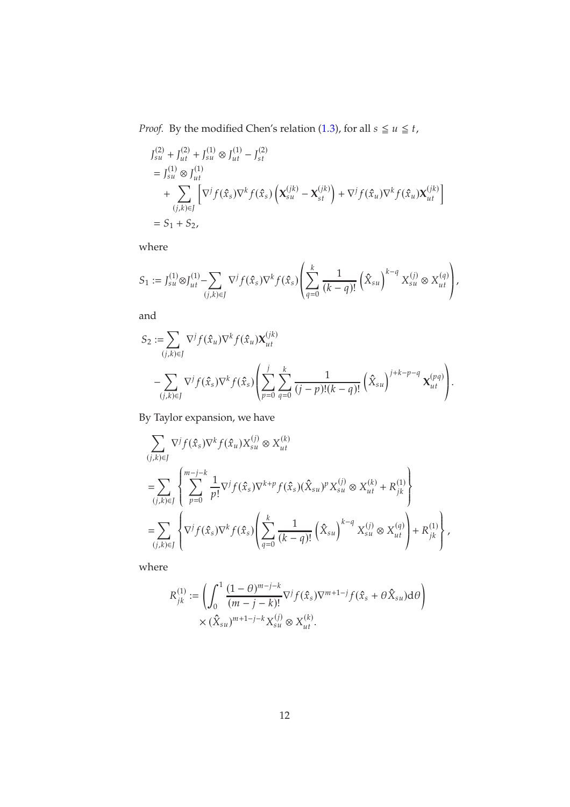*Proof.* By the modified Chen's relation (1.[3\)](#page-2-1), for all  $s \le u \le t$ ,

$$
J_{su}^{(2)} + J_{ut}^{(2)} + J_{su}^{(1)} \otimes J_{ut}^{(1)} - J_{st}^{(2)}
$$
  
= 
$$
J_{su}^{(1)} \otimes J_{ut}^{(1)}
$$
  
+ 
$$
\sum_{(j,k)\in J} \left[ \nabla^j f(\hat{x}_s) \nabla^k f(\hat{x}_s) \left( \mathbf{X}_{su}^{(jk)} - \mathbf{X}_{st}^{(jk)} \right) + \nabla^j f(\hat{x}_u) \nabla^k f(\hat{x}_u) \mathbf{X}_{ut}^{(jk)} \right]
$$
  
= 
$$
S_1 + S_2,
$$

where

$$
S_1:=J^{(1)}_{su}\otimes J^{(1)}_{ut}-\sum_{(j,k)\in J}\nabla^j f(\hat{x}_s)\nabla^k f(\hat{x}_s)\left(\sum_{q=0}^k\frac{1}{(k-q)!}\left(\hat{X}_{su}\right)^{k-q}X^{(j)}_{su}\otimes X^{(q)}_{ut}\right),
$$

and

$$
S_2 := \sum_{(j,k)\in J} \nabla^j f(\hat{x}_u) \nabla^k f(\hat{x}_u) \mathbf{X}_{ut}^{(jk)}
$$
  
 
$$
- \sum_{(j,k)\in J} \nabla^j f(\hat{x}_s) \nabla^k f(\hat{x}_s) \left( \sum_{p=0}^j \sum_{q=0}^k \frac{1}{(j-p)!(k-q)!} \left( \hat{X}_{su} \right)^{j+k-p-q} \mathbf{X}_{ut}^{(pq)} \right).
$$

By Taylor expansion, we have

$$
\sum_{(j,k)\in J} \nabla^j f(\hat{x}_s) \nabla^k f(\hat{x}_u) X_{su}^{(j)} \otimes X_{ut}^{(k)}
$$
\n
$$
= \sum_{(j,k)\in J} \left\{ \sum_{p=0}^{m-j-k} \frac{1}{p!} \nabla^j f(\hat{x}_s) \nabla^{k+p} f(\hat{x}_s) (\hat{X}_{su})^p X_{su}^{(j)} \otimes X_{ut}^{(k)} + R_{jk}^{(1)} \right\}
$$
\n
$$
= \sum_{(j,k)\in J} \left\{ \nabla^j f(\hat{x}_s) \nabla^k f(\hat{x}_s) \left( \sum_{q=0}^k \frac{1}{(k-q)!} \left( \hat{X}_{su} \right)^{k-q} X_{su}^{(j)} \otimes X_{ut}^{(q)} \right) + R_{jk}^{(1)} \right\},
$$

where

$$
R_{jk}^{(1)} := \left( \int_0^1 \frac{(1-\theta)^{m-j-k}}{(m-j-k)!} \nabla^j f(\hat{x}_s) \nabla^{m+1-j} f(\hat{x}_s + \theta \hat{X}_{su}) d\theta \right) \times (\hat{X}_{su})^{m+1-j-k} X_{su}^{(j)} \otimes X_{ut}^{(k)}.
$$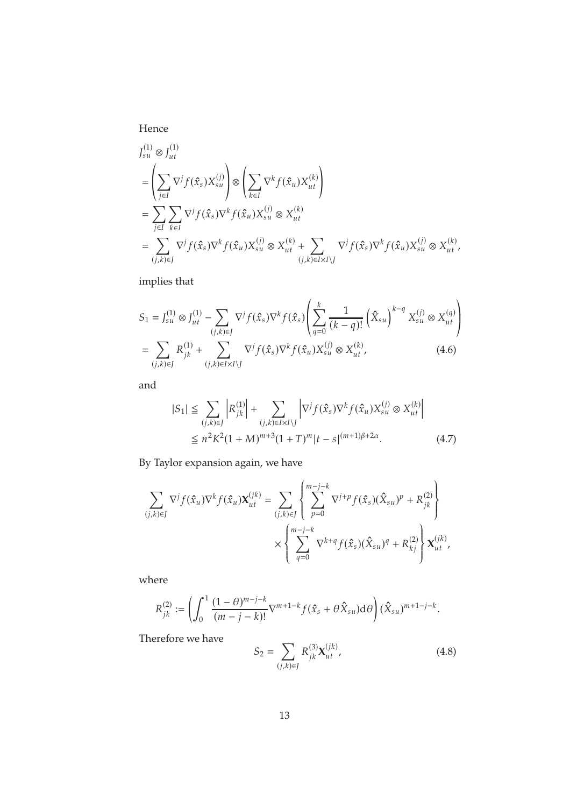Hence

$$
J_{su}^{(1)} \otimes J_{ut}^{(1)}
$$
  
\n=
$$
\left(\sum_{j\in I} \nabla^j f(\hat{x}_s) X_{su}^{(j)}\right) \otimes \left(\sum_{k\in I} \nabla^k f(\hat{x}_u) X_{ut}^{(k)}\right)
$$
  
\n=
$$
\sum_{j\in I} \sum_{k\in I} \nabla^j f(\hat{x}_s) \nabla^k f(\hat{x}_u) X_{su}^{(j)} \otimes X_{ut}^{(k)}
$$
  
\n=
$$
\sum_{(j,k)\in J} \nabla^j f(\hat{x}_s) \nabla^k f(\hat{x}_u) X_{su}^{(j)} \otimes X_{ut}^{(k)} + \sum_{(j,k)\in I \times I \setminus J} \nabla^j f(\hat{x}_s) \nabla^k f(\hat{x}_u) X_{su}^{(j)} \otimes X_{ut}^{(k)},
$$

implies that

$$
S_{1} = J_{su}^{(1)} \otimes J_{ut}^{(1)} - \sum_{(j,k)\in J} \nabla^{j} f(\hat{x}_{s}) \nabla^{k} f(\hat{x}_{s}) \left( \sum_{q=0}^{k} \frac{1}{(k-q)!} \left( \hat{X}_{su} \right)^{k-q} X_{su}^{(j)} \otimes X_{ut}^{(q)} \right)
$$
  
= 
$$
\sum_{(j,k)\in J} R_{jk}^{(1)} + \sum_{(j,k)\in I \times I \setminus J} \nabla^{j} f(\hat{x}_{s}) \nabla^{k} f(\hat{x}_{u}) X_{su}^{(j)} \otimes X_{ut}^{(k)},
$$
(4.6)

and

<span id="page-12-1"></span><span id="page-12-0"></span>
$$
|S_1| \leq \sum_{(j,k)\in J} \left| R_{jk}^{(1)} \right| + \sum_{(j,k)\in I \times I \setminus J} \left| \nabla^j f(\hat{x}_s) \nabla^k f(\hat{x}_u) X_{su}^{(j)} \otimes X_{ut}^{(k)} \right|
$$
  

$$
\leq n^2 K^2 (1+M)^{m+3} (1+T)^m |t-s|^{(m+1)\beta+2\alpha}.
$$
 (4.7)

By Taylor expansion again, we have

$$
\sum_{(j,k)\in J} \nabla^j f(\hat{x}_u) \nabla^k f(\hat{x}_u) \mathbf{X}_{ut}^{(jk)} = \sum_{(j,k)\in J} \left\{ \sum_{p=0}^{m-j-k} \nabla^{j+p} f(\hat{x}_s) (\hat{X}_{su})^p + R_{jk}^{(2)} \right\} \times \left\{ \sum_{q=0}^{m-j-k} \nabla^{k+q} f(\hat{x}_s) (\hat{X}_{su})^q + R_{kj}^{(2)} \right\} \mathbf{X}_{ut}^{(jk)},
$$

where

$$
R_{jk}^{(2)} := \left( \int_0^1 \frac{(1-\theta)^{m-j-k}}{(m-j-k)!} \nabla^{m+1-k} f(\hat{x}_s + \theta \hat{X}_{su}) d\theta \right) (\hat{X}_{su})^{m+1-j-k}.
$$

Therefore we have

<span id="page-12-2"></span>
$$
S_2 = \sum_{(j,k)\in J} R_{jk}^{(3)} \mathbf{X}_{ut}^{(jk)},
$$
\n(4.8)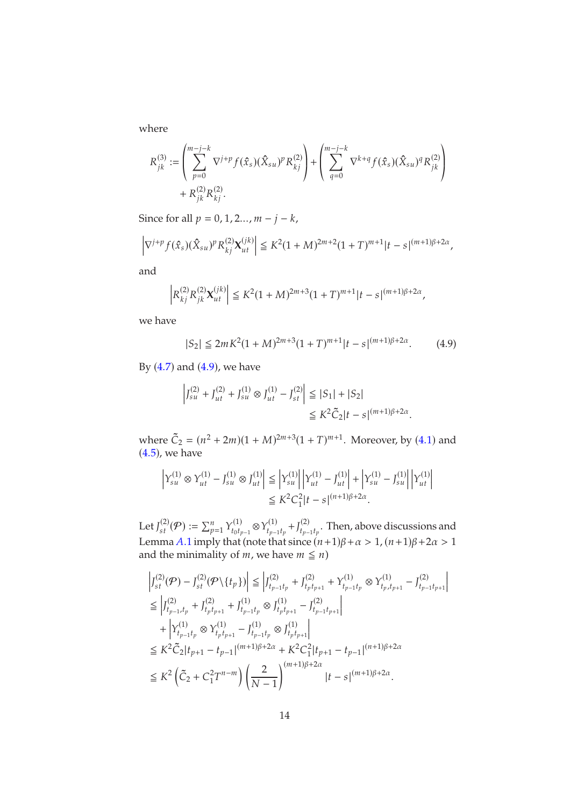where

$$
\begin{split} R^{(3)}_{jk} := & \left( \sum_{p=0}^{m-j-k} \nabla^{j+p} f(\hat{x}_s) (\hat{X}_{su})^p R^{(2)}_{kj} \right) + \left( \sum_{q=0}^{m-j-k} \nabla^{k+q} f(\hat{x}_s) (\hat{X}_{su})^q R^{(2)}_{jk} \right) \\ & + R^{(2)}_{jk} R^{(2)}_{kj}. \end{split}
$$

Since for all  $p = 0, 1, 2, \ldots, m - j - k$ ,

$$
\left|\nabla^{j+p} f(\hat{x}_s) (\hat{X}_{su})^p R_{kj}^{(2)} \mathbf{X}_{ut}^{(jk)}\right| \leq K^2 (1+M)^{2m+2} (1+T)^{m+1} |t-s|^{(m+1)\beta+2\alpha},
$$

and

$$
\left| R_{kj}^{(2)} R_{jk}^{(2)} {\mathbf{X}}_{ut}^{(jk)} \right| \leq K^2 (1+M)^{2m+3} (1+T)^{m+1} |t-s|^{(m+1)\beta + 2\alpha},
$$

we have

<span id="page-13-0"></span>
$$
|S_2| \le 2mK^2(1+M)^{2m+3}(1+T)^{m+1}|t-s|^{(m+1)\beta+2\alpha}.\tag{4.9}
$$

By  $(4.7)$  $(4.7)$  $(4.7)$  and  $(4.9)$ , we have

$$
\left| J_{su}^{(2)} + J_{ut}^{(2)} + J_{su}^{(1)} \otimes J_{ut}^{(1)} - J_{st}^{(2)} \right| \leq |S_1| + |S_2|
$$
  

$$
\leq K^2 \tilde{C}_2 |t - s|^{(m+1)\beta + 2\alpha}.
$$

where  $\tilde{C}_2 = (n^2 + 2m)(1 + M)^{2m+3}(1 + T)^{m+1}$ . Moreover, by ([4](#page-9-1).1) and  $(4.5)$  $(4.5)$  $(4.5)$ , we have

$$
\left| Y_{su}^{(1)} \otimes Y_{ut}^{(1)} - J_{su}^{(1)} \otimes J_{ut}^{(1)} \right| \leq \left| Y_{su}^{(1)} \right| \left| Y_{ut}^{(1)} - J_{ut}^{(1)} \right| + \left| Y_{su}^{(1)} - J_{su}^{(1)} \right| \left| Y_{ut}^{(1)} \right|
$$
  

$$
\leq K^2 C_1^2 |t - s|^{(n+1)\beta + 2\alpha}.
$$

Let  $J_{st}^{(2)}(\mathcal{P}):=\sum_{p=1}^n Y_{t_0t_p}^{(1)}$  $Y_{t_0t_{p-1}}^{(1)} \otimes Y_{t_{p-1}}^{(1)}$  $t_{p-1}t_p + J_{t_{p-1}}^{(2)}$  $_{t_{p-1}t_{p}}^{(2)}$ . Then, above discussions and Lemma A.1 imply that (note that since  $(n+1)\beta + \alpha > 1$ ,  $(n+1)\beta + 2\alpha > 1$ and the minimality of  $m$ , we have  $m \leq n$ )

> $\overline{\mathsf{I}}$ I  $\overline{\phantom{a}}$

$$
\begin{split} &\left|J_{st}^{(2)}(\mathcal{P})-J_{st}^{(2)}(\mathcal{P}\backslash\{t_p\})\right|\leq \left|J_{t_{p-1}t_p}^{(2)}+J_{t_{p}t_{p+1}}^{(2)}+Y_{t_{p-1}t_p}^{(1)}\otimes Y_{t_p,t_{p+1}}^{(1)}-J_{t_{p-1}t_{p+1}}^{(2)}\right|\\ &\leq \left|J_{t_{p-1},t_p}^{(2)}+J_{t_{p}t_{p+1}}^{(2)}+J_{t_{p-1}t_p}^{(1)}\otimes J_{t_pt_{p+1}}^{(1)}-J_{t_{p-1}t_{p+1}}^{(2)}\right|\\ &\quad+\left|Y_{t_{p-1}t_p}^{(1)}\otimes Y_{t_pt_{p+1}}^{(1)}-J_{t_{p-1}t_p}^{(1)}\otimes J_{t_pt_{p+1}}^{(1)}\right|\\ &\leq K^2\widetilde{C}_2|t_{p+1}-t_{p-1}|^{(m+1)\beta+2\alpha}+K^2C_1^2|t_{p+1}-t_{p-1}|^{(n+1)\beta+2\alpha}\\ &\leq K^2\left(\widetilde{C}_2+C_1^2T^{n-m}\right)\left(\frac{2}{N-1}\right)^{(m+1)\beta+2\alpha}|t-s|^{(m+1)\beta+2\alpha}. \end{split}
$$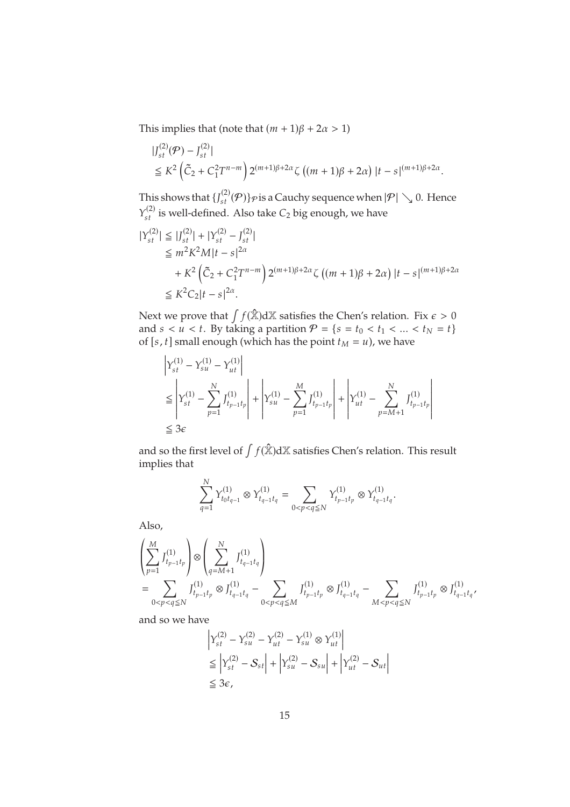This implies that (note that  $(m + 1)\beta + 2\alpha > 1$ )

$$
\begin{split} & |J_{st}^{(2)}(\mathcal{P}) - J_{st}^{(2)}| \\ & \leq K^2 \left( \tilde{C}_2 + C_1^2 T^{n-m} \right) 2^{(m+1)\beta + 2\alpha} \zeta \left( (m+1)\beta + 2\alpha \right) |t - s|^{(m+1)\beta + 2\alpha} . \end{split}
$$

This shows that  $\{J_{st}^{(2)}(\mathcal{P})\}\varphi$  is a Cauchy sequence when  $|\mathcal{P}| \searrow 0$ . Hence  $Y_{st}^{(2)}$  is well-defined. Also take  $C_2$  big enough, we have

$$
\begin{split} |Y_{st}^{(2)}| &\leq |J_{st}^{(2)}| + |Y_{st}^{(2)} - J_{st}^{(2)}| \\ &\leq m^2 K^2 M |t - s|^{2\alpha} \\ &+ K^2 \left(\tilde{C}_2 + C_1^2 T^{n-m}\right) 2^{(m+1)\beta + 2\alpha} \zeta \left((m+1)\beta + 2\alpha\right) |t - s|^{(m+1)\beta + 2\alpha} \\ &\leq K^2 C_2 |t - s|^{2\alpha} .\end{split}
$$

Next we prove that  $\int f(\hat{\mathbb{X}}) d\mathbb{X}$  satisfies the Chen's relation. Fix  $\epsilon > 0$ and  $s < u < t$ . By taking a partition  $P = \{s = t_0 < t_1 < ... < t_N = t\}$ of [s, t] small enough (which has the point  $t_M = u$ ), we have

$$
\label{eq:1} \begin{split} &\left|Y_{st}^{(1)}-Y_{su}^{(1)}-Y_{ut}^{(1)}\right|\\ &\leq \left|Y_{st}^{(1)}-\sum_{p=1}^{N}J_{t_{p-1}t_p}^{(1)}\right|+\left|Y_{su}^{(1)}-\sum_{p=1}^{M}J_{t_{p-1}t_p}^{(1)}\right|+\left|Y_{ut}^{(1)}-\sum_{p=M+1}^{N}J_{t_{p-1}t_p}^{(1)}\right|\\ &\leq 3\epsilon \end{split}
$$

and so the first level of  $\int f(\hat{\mathbb{X}}) d\mathbb{X}$  satisfies Chen's relation. This result implies that

$$
\sum_{q=1}^N Y_{t_0t_{q-1}}^{(1)} \otimes Y_{t_{q-1}t_q}^{(1)} = \sum_{0
$$

Also,

$$
\left(\sum_{p=1}^{M} J_{t_{p-1}t_p}^{(1)}\right) \otimes \left(\sum_{q=M+1}^{N} J_{t_{q-1}t_q}^{(1)}\right)
$$
\n
$$
= \sum_{0 < p < q \leq N} J_{t_{p-1}t_p}^{(1)} \otimes J_{t_{q-1}t_q}^{(1)} - \sum_{0 < p < q \leq M} J_{t_{p-1}t_p}^{(1)} \otimes J_{t_{q-1}t_q}^{(1)} - \sum_{M < p < q \leq N} J_{t_{p-1}t_p}^{(1)} \otimes J_{t_{q-1}t_q}^{(1)}.
$$

and so we have

$$
\begin{aligned} & \left| Y_{st}^{(2)} - Y_{su}^{(2)} - Y_{ut}^{(2)} - Y_{su}^{(1)} \otimes Y_{ut}^{(1)} \right| \\ & \leq \left| Y_{st}^{(2)} - S_{st} \right| + \left| Y_{su}^{(2)} - S_{su} \right| + \left| Y_{ut}^{(2)} - S_{ut} \right| \\ & \leq 3\epsilon, \end{aligned}
$$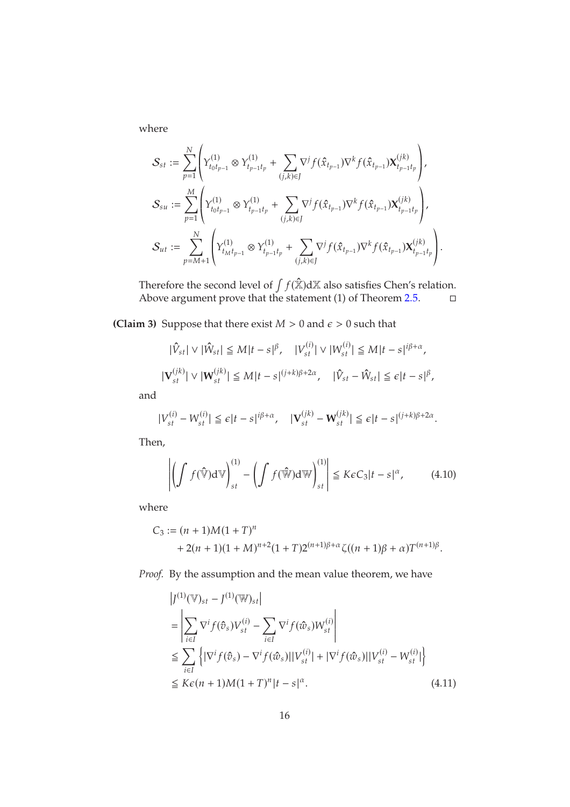where

$$
\begin{aligned} &\mathcal{S}_{st}:=\sum_{p=1}^N\left(\mathcal{Y}_{t_0t_{p-1}}^{(1)}\otimes Y_{t_{p-1}t_p}^{(1)}+\sum_{(j,k)\in J}\nabla^j f(\hat{x}_{t_{p-1}})\nabla^k f(\hat{x}_{t_{p-1}})\mathbf{X}_{t_{p-1}t_p}^{(jk)}\right),\\ &\mathcal{S}_{su}:=\sum_{p=1}^M\left(Y_{t_0t_{p-1}}^{(1)}\otimes Y_{t_{p-1}t_p}^{(1)}+\sum_{(j,k)\in J}\nabla^j f(\hat{x}_{t_{p-1}})\nabla^k f(\hat{x}_{t_{p-1}})\mathbf{X}_{t_{p-1}t_p}^{(jk)}\right),\\ &\mathcal{S}_{ut}:=\sum_{p=M+1}^N\left(Y_{t_Mt_{p-1}}^{(1)}\otimes Y_{t_{p-1}t_p}^{(1)}+\sum_{(j,k)\in J}\nabla^j f(\hat{x}_{t_{p-1}})\nabla^k f(\hat{x}_{t_{p-1}})\mathbf{X}_{t_{p-1}t_p}^{(jk)}\right) \end{aligned}
$$

Therefore the second level of  $\int f(\hat{\mathbb{X}}) d\mathbb{X}$  also satisfies Chen's relation. Above argument prove that the statement  $(1)$  of Theorem 2.[5.](#page-4-1)  $\Box$ 

.

**(Claim 3)** Suppose that there exist  $M > 0$  and  $\epsilon > 0$  such that

$$
|\hat{V}_{st}| \vee |\hat{W}_{st}| \leq M|t - s|^{\beta}, \quad |V_{st}^{(i)}| \vee |W_{st}^{(i)}| \leq M|t - s|^{i\beta + \alpha},
$$
  

$$
|\mathbf{V}_{st}^{(jk)}| \vee |\mathbf{W}_{st}^{(jk)}| \leq M|t - s|^{(j+k)\beta + 2\alpha}, \quad |\hat{V}_{st} - \hat{W}_{st}| \leq \epsilon|t - s|^{\beta},
$$

and

$$
|V_{st}^{(i)} - W_{st}^{(i)}| \leq \epsilon |t - s|^{i\beta + \alpha}, \quad |\mathbf{V}_{st}^{(jk)} - \mathbf{W}_{st}^{(jk)}| \leq \epsilon |t - s|^{(j+k)\beta + 2\alpha}.
$$

Then,

<span id="page-15-1"></span>
$$
\left| \left( \int f(\hat{\mathbb{V}}) d\mathbb{V} \right)_{st}^{(1)} - \left( \int f(\hat{\mathbb{W}}) d\mathbb{W} \right)_{st}^{(1)} \right| \le K\varepsilon C_3 |t - s|^\alpha, \tag{4.10}
$$

where

$$
C_3 := (n + 1)M(1+T)^n
$$
  
+ 2(n + 1)(1 + M)<sup>n+2</sup>(1+T)2<sup>(n+1)\beta+\alpha</sup>ζ((n + 1)\beta + \alpha)T<sup>(n+1)\beta</sup>.

*Proof.* By the assumption and the mean value theorem, we have

<span id="page-15-0"></span>
$$
\begin{split} &\left|J^{(1)}(\mathbb{V})_{st} - J^{(1)}(\mathbb{W})_{st}\right| \\ &= \left|\sum_{i \in I} \nabla^i f(\hat{\sigma}_s) V_{st}^{(i)} - \sum_{i \in I} \nabla^i f(\hat{\omega}_s) W_{st}^{(i)}\right| \\ &\leq \sum_{i \in I} \left\{ |\nabla^i f(\hat{\sigma}_s) - \nabla^i f(\hat{\omega}_s)| |V_{st}^{(i)}| + |\nabla^i f(\hat{\omega}_s)| |V_{st}^{(i)} - W_{st}^{(i)}|\right\} \\ &\leq K\epsilon (n+1)M(1+T)^n |t-s|^{\alpha}. \end{split} \tag{4.11}
$$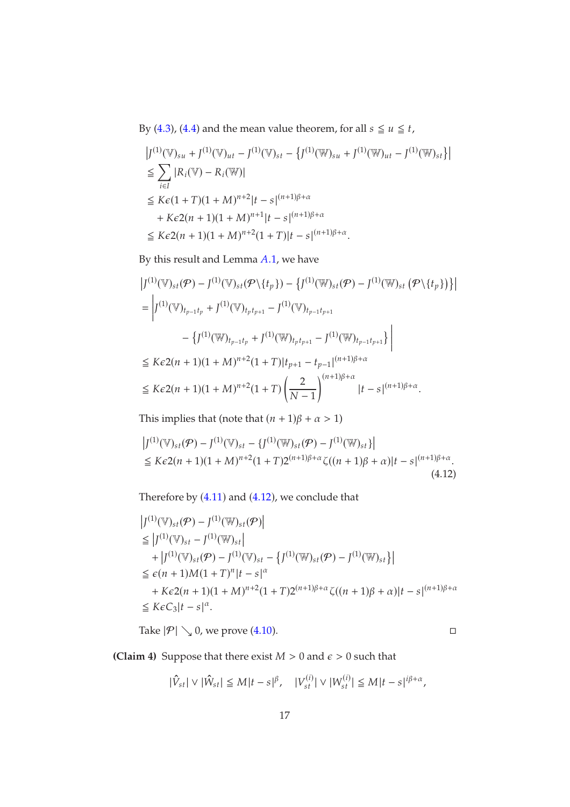By [\(4](#page-9-2).3), (4.[4\)](#page-9-3) and the mean value theorem, for all  $s \le u \le t$ ,

$$
|J^{(1)}(\mathbb{V})_{su} + J^{(1)}(\mathbb{V})_{ut} - J^{(1)}(\mathbb{V})_{st} - \{J^{(1)}(\mathbb{W})_{su} + J^{(1)}(\mathbb{W})_{ut} - J^{(1)}(\mathbb{W})_{st}\}|
$$
  
\n
$$
\leq \sum_{i \in I} |R_i(\mathbb{V}) - R_i(\mathbb{W})|
$$
  
\n
$$
\leq K\varepsilon (1+T)(1+M)^{n+2}|t-s|^{(n+1)\beta+\alpha}
$$
  
\n
$$
+ K\varepsilon 2(n+1)(1+M)^{n+1}|t-s|^{(n+1)\beta+\alpha}
$$
  
\n
$$
\leq K\varepsilon 2(n+1)(1+M)^{n+2}(1+T)|t-s|^{(n+1)\beta+\alpha}.
$$

By this result and Lemma  $A.1$ , we have

$$
\left| J^{(1)}(\mathbb{V})_{st}(\mathcal{P}) - J^{(1)}(\mathbb{V})_{st}(\mathcal{P}\setminus\{t_p\}) - \{ J^{(1)}(\mathbb{W})_{st}(\mathcal{P}) - J^{(1)}(\mathbb{W})_{st} (\mathcal{P}\setminus\{t_p\}) \} \right|
$$
\n
$$
= \left| J^{(1)}(\mathbb{V})_{t_{p-1}t_p} + J^{(1)}(\mathbb{V})_{t_{p}t_{p+1}} - J^{(1)}(\mathbb{W})_{t_{p-1}t_{p+1}} - J^{(1)}(\mathbb{W})_{t_{p-1}t_{p+1}} \right|
$$
\n
$$
\leq K\epsilon 2(n+1)(1+M)^{n+2}(1+T)|t_{p+1} - t_{p-1}|^{(n+1)\beta+\alpha}
$$
\n
$$
\leq K\epsilon 2(n+1)(1+M)^{n+2}(1+T)\left(\frac{2}{N-1}\right)^{(n+1)\beta+\alpha}|t-s|^{(n+1)\beta+\alpha}.
$$

This implies that (note that  $(n + 1)\beta + \alpha > 1$ )

$$
|J^{(1)}(\mathbb{V})_{st}(\mathcal{P}) - J^{(1)}(\mathbb{V})_{st} - \{J^{(1)}(\mathbb{W})_{st}(\mathcal{P}) - J^{(1)}(\mathbb{W})_{st}\}|
$$
  
\n
$$
\leq K\epsilon 2(n+1)(1+M)^{n+2}(1+T)2^{(n+1)\beta+\alpha}\zeta((n+1)\beta+\alpha)|t-s|^{(n+1)\beta+\alpha}.
$$
\n(4.12)

Therefore by (4.[11](#page-15-0)) and (4.[12](#page-16-0)), we conclude that

$$
|J^{(1)}(\mathbb{V})_{st}(\mathcal{P}) - J^{(1)}(\mathbb{W})_{st}(\mathcal{P})|
$$
  
\n
$$
\leq |J^{(1)}(\mathbb{V})_{st} - J^{(1)}(\mathbb{W})_{st}|
$$
  
\n
$$
+ |J^{(1)}(\mathbb{V})_{st}(\mathcal{P}) - J^{(1)}(\mathbb{W})_{st} - \{J^{(1)}(\mathbb{W})_{st}(\mathcal{P}) - J^{(1)}(\mathbb{W})_{st}\}|
$$
  
\n
$$
\leq \epsilon (n + 1)M(1 + T)^{n} |t - s|^{\alpha}
$$
  
\n
$$
+ K\epsilon 2(n + 1)(1 + M)^{n+2}(1 + T)2^{(n+1)\beta + \alpha} \zeta((n + 1)\beta + \alpha) |t - s|^{(n+1)\beta + \alpha}
$$
  
\n
$$
\leq K\epsilon C_3 |t - s|^{\alpha}.
$$

Take  $|\mathcal{P}| \setminus 0$ , we prove [\(4.10\)](#page-15-1).

<span id="page-16-0"></span>

**(Claim 4)** Suppose that there exist  $M > 0$  and  $\epsilon > 0$  such that

$$
|\hat{V}_{st}| \vee |\hat{W}_{st}| \leq M|t-s|^{\beta}, \quad |V_{st}^{(i)}| \vee |W_{st}^{(i)}| \leq M|t-s|^{i\beta+\alpha},
$$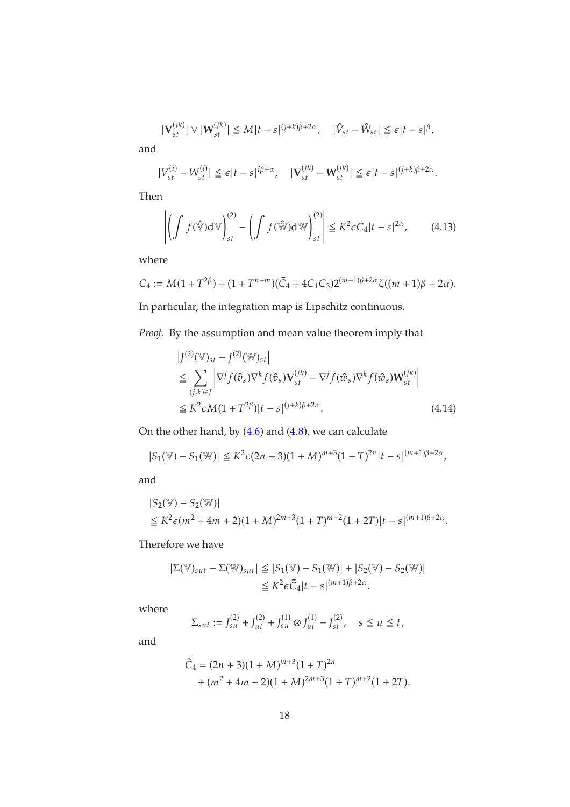$$
|\mathbf{V}_{st}^{(jk)}| \vee |\mathbf{W}_{st}^{(jk)}| \leq M|t-s|^{(j+k)\beta+2\alpha}, \quad |\hat{V}_{st} - \hat{W}_{st}| \leq \epsilon |t-s|^\beta,
$$

and

$$
|V_{st}^{(i)} - W_{st}^{(i)}| \leq \epsilon |t - s|^{i\beta + \alpha}, \quad |\mathbf{V}_{st}^{(jk)} - \mathbf{W}_{st}^{(jk)}| \leq \epsilon |t - s|^{(j + k)\beta + 2\alpha}.
$$

Then

<span id="page-17-1"></span>
$$
\left| \left( \int f(\hat{\mathbb{V}}) d\mathbb{V} \right)_{st}^{(2)} - \left( \int f(\hat{\mathbb{W}}) d\mathbb{W} \right)_{st}^{(2)} \right| \le K^2 \epsilon C_4 |t - s|^{2\alpha}, \qquad (4.13)
$$

where

$$
C_4 := M(1 + T^{2\beta}) + (1 + T^{n-m})(\tilde{C}_4 + 4C_1C_3)2^{(m+1)\beta + 2\alpha}\zeta((m+1)\beta + 2\alpha).
$$

In particular, the integration map is Lipschitz continuous.

*Proof.* By the assumption and mean value theorem imply that

<span id="page-17-0"></span>
$$
\begin{aligned} &\left|J^{(2)}(\mathbb{V})_{st} - J^{(2)}(\mathbb{W})_{st}\right| \\ &\leq \sum_{(j,k)\in J} \left|\nabla^j f(\hat{v}_s) \nabla^k f(\hat{v}_s) \mathbf{V}_{st}^{(jk)} - \nabla^j f(\hat{w}_s) \nabla^k f(\hat{w}_s) \mathbf{W}_{st}^{(jk)}\right| \\ &\leq K^2 \epsilon M (1 + T^{2\beta}) |t - s|^{(j+k)\beta + 2\alpha} . \end{aligned} \tag{4.14}
$$

On the other hand, by  $(4.6)$  $(4.6)$  $(4.6)$  and  $(4.8)$ , we can calculate

$$
|S_1(\mathbb{V}) - S_1(\mathbb{W})| \le K^2 \epsilon (2n+3)(1+M)^{m+3}(1+T)^{2n} |t-s|^{(m+1)\beta + 2\alpha},
$$

and

$$
|S_2(\mathbb{V}) - S_2(\mathbb{W})|
$$
  
\n
$$
\leq K^2 \epsilon (m^2 + 4m + 2)(1 + M)^{2m+3} (1+T)^{m+2} (1+2T)|t - s|^{(m+1)\beta + 2\alpha}.
$$

Therefore we have

$$
\begin{aligned} |\Sigma(\mathbb{V})_{sut} - \Sigma(\mathbb{W})_{sut}| &\leq |S_1(\mathbb{V}) - S_1(\mathbb{W})| + |S_2(\mathbb{V}) - S_2(\mathbb{W})| \\ &\leq K^2 \epsilon \tilde{C}_4 |t - s|^{(m+1)\beta + 2\alpha} .\end{aligned}
$$

where

$$
\Sigma_{sut} := J_{su}^{(2)} + J_{ut}^{(2)} + J_{su}^{(1)} \otimes J_{ut}^{(1)} - J_{st}^{(2)}, \quad s \le u \le t,
$$

and

$$
\tilde{C}_4 = (2n + 3)(1 + M)^{m+3}(1+T)^{2n} + (m^2 + 4m + 2)(1 + M)^{2m+3}(1+T)^{m+2}(1+2T).
$$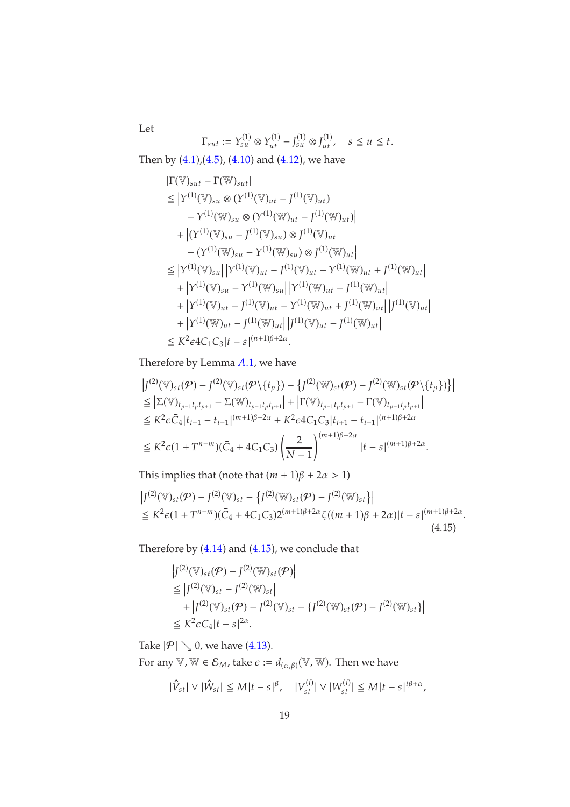$\Gamma_{sut} := Y_{su}^{(1)} \otimes Y_{ut}^{(1)} - J_{su}^{(1)} \otimes J_{ut}^{(1)}$ ,  $s \le u \le t$ .

Then by ([4](#page-9-1).1),([4](#page-10-0).5), (4.[10](#page-15-1)) and (4.[12](#page-16-0)), we have

Let

$$
|\Gamma(\mathbb{V})_{sut} - \Gamma(\mathbb{W})_{sut}|
$$
  
\n
$$
\leq |Y^{(1)}(\mathbb{V})_{sut} \otimes (Y^{(1)}(\mathbb{V})_{ut} - J^{(1)}(\mathbb{V})_{ut})
$$
  
\n
$$
-Y^{(1)}(\mathbb{W})_{sut} \otimes (Y^{(1)}(\mathbb{W})_{ut} - J^{(1)}(\mathbb{W})_{ut})|
$$
  
\n
$$
+ |(Y^{(1)}(\mathbb{V})_{sut} - J^{(1)}(\mathbb{W})_{sut}) \otimes J^{(1)}(\mathbb{W})_{ut}|
$$
  
\n
$$
- (Y^{(1)}(\mathbb{W})_{sut} - Y^{(1)}(\mathbb{W})_{su}) \otimes J^{(1)}(\mathbb{W})_{ut}|
$$
  
\n
$$
\leq |Y^{(1)}(\mathbb{V})_{sut}| |Y^{(1)}(\mathbb{V})_{ut} - J^{(1)}(\mathbb{W})_{ut} - Y^{(1)}(\mathbb{W})_{ut} + J^{(1)}(\mathbb{W})_{ut}|
$$
  
\n
$$
+ |Y^{(1)}(\mathbb{V})_{stu} - Y^{(1)}(\mathbb{W})_{st}| |Y^{(1)}(\mathbb{W})_{ut} + J^{(1)}(\mathbb{W})_{ut}|
$$
  
\n
$$
+ |Y^{(1)}(\mathbb{W})_{ut} - J^{(1)}(\mathbb{W})_{ut}| |J^{(1)}(\mathbb{W})_{ut} + J^{(1)}(\mathbb{W})_{ut}|
$$
  
\n
$$
\leq K^2 \epsilon 4C_1C_3|t - s|^{(n+1)\beta+2\alpha}.
$$

Therefore by Lemma A.1, we have

$$
\begin{split} &\left|J^{(2)}(\mathbb{V})_{st}(\mathcal{P})-J^{(2)}(\mathbb{V})_{st}(\mathcal{P}\setminus\{t_p\})-\left\{J^{(2)}(\mathbb{W})_{st}(\mathcal{P})-J^{(2)}(\mathbb{W})_{st}(\mathcal{P}\setminus\{t_p\})\right\}\right| \\ &\leq \left|\Sigma(\mathbb{V})_{t_{p-1}t_{p}t_{p+1}}-\Sigma(\mathbb{W})_{t_{p-1}t_{p}t_{p+1}}\right|+\left|\Gamma(\mathbb{V})_{t_{p-1}t_{p}t_{p+1}}-\Gamma(\mathbb{V})_{t_{p-1}t_{p}t_{p+1}}\right| \\ &\leq K^2\epsilon\tilde{C}_4|t_{i+1}-t_{i-1}|^{(m+1)\beta+2\alpha}+K^2\epsilon 4C_1C_3|t_{i+1}-t_{i-1}|^{(n+1)\beta+2\alpha} \\ &\leq K^2\epsilon(1+T^{n-m})(\tilde{C}_4+4C_1C_3)\left(\frac{2}{N-1}\right)^{(m+1)\beta+2\alpha}|t-s|^{(m+1)\beta+2\alpha}. \end{split}
$$

This implies that (note that  $(m + 1)\beta + 2\alpha > 1$ )

$$
\left| J^{(2)}(\mathbb{V})_{st}(\mathcal{P}) - J^{(2)}(\mathbb{V})_{st} - \left\{ J^{(2)}(\mathbb{W})_{st}(\mathcal{P}) - J^{(2)}(\mathbb{W})_{st} \right\} \right|
$$
  
\n
$$
\leq K^2 \epsilon (1 + T^{n-m}) (\tilde{C}_4 + 4C_1 C_3) 2^{(m+1)\beta + 2\alpha} \zeta((m+1)\beta + 2\alpha) |t - s|^{(m+1)\beta + 2\alpha}.
$$
\n(4.15)

Therefore by (4.[14](#page-17-0)) and (4.[15](#page-18-0)), we conclude that

<span id="page-18-0"></span>
$$
|J^{(2)}(\mathbb{V})_{st}(\mathcal{P}) - J^{(2)}(\mathbb{W})_{st}(\mathcal{P})|
$$
  
\n
$$
\leq |J^{(2)}(\mathbb{V})_{st} - J^{(2)}(\mathbb{W})_{st}|
$$
  
\n
$$
+ |J^{(2)}(\mathbb{V})_{st}(\mathcal{P}) - J^{(2)}(\mathbb{V})_{st} - \{J^{(2)}(\mathbb{W})_{st}(\mathcal{P}) - J^{(2)}(\mathbb{W})_{st}\}|
$$
  
\n
$$
\leq K^2 \epsilon C_4 |t - s|^{2\alpha}.
$$

Take  $|\mathcal{P}| \searrow 0$ , we have [\(4.13\)](#page-17-1).

For any  $\mathbb{V}$ ,  $\mathbb{W} \in \mathcal{E}_M$ , take  $\epsilon := d_{(\alpha,\beta)}(\mathbb{V}, \mathbb{W})$ . Then we have

$$
|\hat{V}_{st}| \vee |\hat{W}_{st}| \leq M|t-s|^{\beta}, \quad |V_{st}^{(i)}| \vee |W_{st}^{(i)}| \leq M|t-s|^{i\beta+\alpha},
$$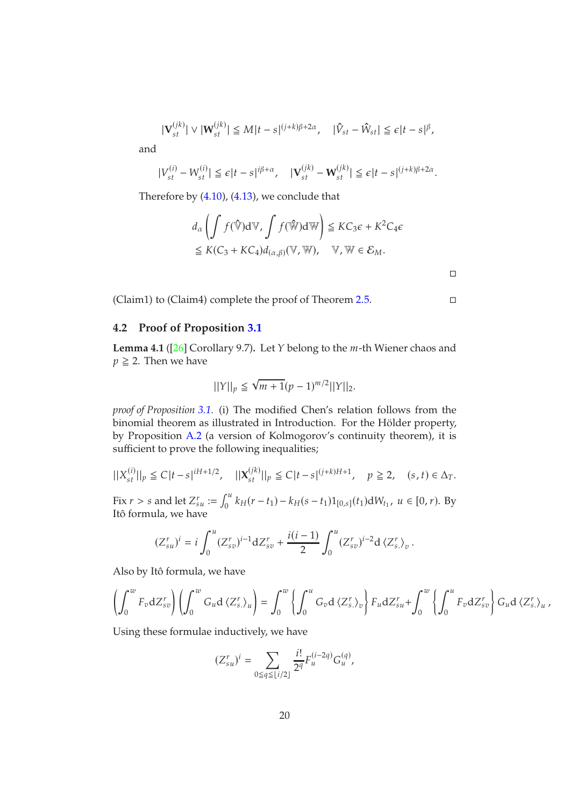$$
|\mathbf{V}_{st}^{(jk)}| \vee |\mathbf{W}_{st}^{(jk)}| \leq M|t-s|^{(j+k)\beta+2\alpha}, \quad |\hat{V}_{st} - \hat{W}_{st}| \leq \epsilon|t-s|^{\beta},
$$

and

$$
|V_{st}^{(i)}-W_{st}^{(i)}|\leq \epsilon |t-s|^{i\beta+\alpha}, \quad |\mathbf{V}_{st}^{(jk)}-W_{st}^{(jk)}|\leq \epsilon |t-s|^{(j+k)\beta+2\alpha}.
$$

Therefore by [\(4.10\)](#page-15-1), [\(4.13\)](#page-17-1), we conclude that

$$
d_{\alpha} \left( \int f(\hat{\mathbb{V}}) d\mathbb{V}, \int f(\hat{\mathbb{W}}) d\mathbb{W} \right) \leq KC_{3} \epsilon + K^{2} C_{4} \epsilon
$$
  

$$
\leq K(C_{3} + KC_{4}) d_{(\alpha, \beta)}(\mathbb{V}, \mathbb{W}), \quad \mathbb{V}, \mathbb{W} \in \mathcal{E}_{M}.
$$

 $\Box$ 

(Claim1) to (Claim4) complete the proof of Theorem 2.[5.](#page-4-1)

#### <span id="page-19-0"></span>**4.2 Proof of Proposition [3.1](#page-4-0)**

<span id="page-19-1"></span>**Lemma 4.1** ( $[26]$  Corollary 9.7). Let *Y* belong to the *m*-th Wiener chaos and  $p \geq 2$ . Then we have

$$
||Y||_p \le \sqrt{m+1}(p-1)^{m/2}||Y||_2.
$$

*proof of Proposition [3.1.](#page-4-0)* (i) The modified Chen's relation follows from the binomial theorem as illustrated in Introduction. For the Hölder property, by Proposition [A.2](#page-27-0) (a version of Kolmogorov's continuity theorem), it is sufficient to prove the following inequalities;

$$
||X_{st}^{(i)}||_p \leq C|t-s|^{iH+1/2}, \quad ||X_{st}^{(jk)}||_p \leq C|t-s|^{(j+k)H+1}, \quad p \geq 2, \quad (s,t) \in \Delta_T.
$$

Fix  $r > s$  and let  $Z_{su}^r := \int_0^u$  $\int_0^{\pi} k_H(r-t_1) - k_H(s-t_1)1_{[0,s]}(t_1) dW_{t_1}, u \in [0, r)$ . By Itô formula, we have

$$
(Z_{su}^r)^i = i \int_0^u (Z_{sv}^r)^{i-1} dZ_{sv}^r + \frac{i(i-1)}{2} \int_0^u (Z_{sv}^r)^{i-2} d\langle Z_{s}^r \rangle_v.
$$

Also by Itô formula, we have

$$
\left(\int_0^w F_v \, dZ_{sv}^r \right) \left(\int_0^w G_u \, d\left\langle Z_s^r \right\rangle_u \right) = \int_0^w \left\{ \int_0^u G_v \, d\left\langle Z_s^r \right\rangle_v \right\} F_u \, dZ_{su}^r + \int_0^w \left\{ \int_0^u F_v \, dZ_{sv}^r \right\} G_u \, d\left\langle Z_s^r \right\rangle_u,
$$

Using these formulae inductively, we have

$$
(Z_{su}^r)^i = \sum_{0 \le q \le \lfloor i/2 \rfloor} \frac{i!}{2^q} F_u^{(i-2q)} G_u^{(q)},
$$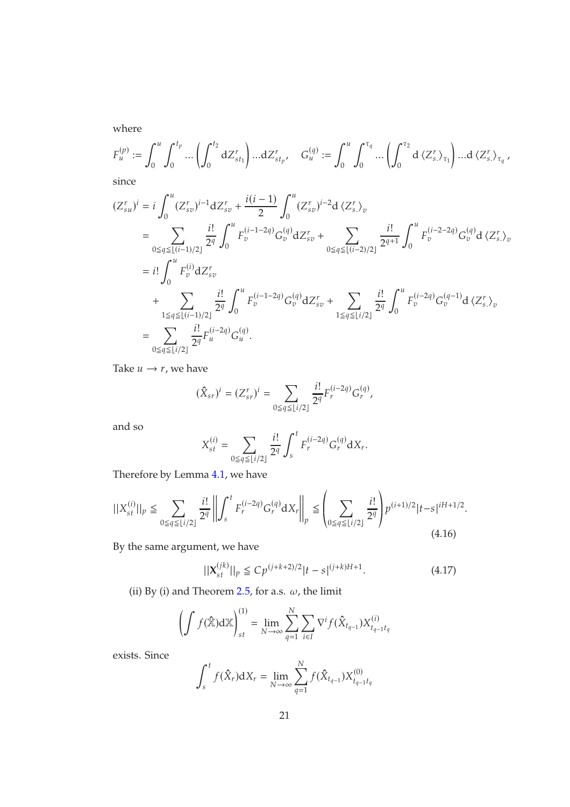where

$$
F_u^{(p)} := \int_0^u \int_0^{t_p} \dots \left( \int_0^{t_2} dZ_{st_1}^r \right) \dots dZ_{st_p}^r, \quad G_u^{(q)} := \int_0^u \int_0^{\tau_q} \dots \left( \int_0^{\tau_2} d \langle Z_s^r \rangle_{\tau_1} \right) \dots d \langle Z_s^r \rangle_{\tau_q},
$$
 since

$$
(Z_{su}^{r})^{i} = i \int_{0}^{u} (Z_{sv}^{r})^{i-1} dZ_{sv}^{r} + \frac{i(i-1)}{2} \int_{0}^{u} (Z_{sv}^{r})^{i-2} d \langle Z_{s}^{r} \rangle_{v}
$$
  
\n
$$
= \sum_{0 \le q \le \lfloor (i-1)/2 \rfloor} \frac{i!}{2^{q}} \int_{0}^{u} F_{v}^{(i-1-2q)} G_{v}^{(q)} dZ_{sv}^{r} + \sum_{0 \le q \le \lfloor (i-2)/2 \rfloor} \frac{i!}{2^{q+1}} \int_{0}^{u} F_{v}^{(i-2-2q)} G_{v}^{(q)} d \langle Z_{s}^{r} \rangle_{v}
$$
  
\n
$$
= i! \int_{0}^{u} F_{v}^{(i)} dZ_{sv}^{r}
$$
  
\n
$$
+ \sum_{1 \le q \le \lfloor (i-1)/2 \rfloor} \frac{i!}{2^{q}} \int_{0}^{u} F_{v}^{(i-1-2q)} G_{v}^{(q)} dZ_{sv}^{r} + \sum_{1 \le q \le \lfloor i/2 \rfloor} \frac{i!}{2^{q}} \int_{0}^{u} F_{v}^{(i-2q)} G_{v}^{(q-1)} d \langle Z_{s}^{r} \rangle_{v}
$$
  
\n
$$
= \sum_{0 \le q \le \lfloor i/2 \rfloor} \frac{i!}{2^{q}} F_{u}^{(i-2q)} G_{u}^{(q)}.
$$

Take  $u \rightarrow r$ , we have

$$
(\hat{X}_{sr})^i = (Z_{sr}^r)^i = \sum_{0 \le q \le \lfloor i/2 \rfloor} \frac{i!}{2^q} F_r^{(i-2q)} G_r^{(q)},
$$

and so

$$
X_{st}^{(i)} = \sum_{0 \le q \le \lfloor i/2 \rfloor} \frac{i!}{2^q} \int_s^t F_r^{(i-2q)} G_r^{(q)} dX_r.
$$

Therefore by Lemma [4.1,](#page-19-1) we have

<span id="page-20-0"></span>
$$
||X_{st}^{(i)}||_p \le \sum_{0 \le q \le \lfloor i/2 \rfloor} \frac{i!}{2^q} \left| \left| \int_s^t F_r^{(i-2q)} G_r^{(q)} \mathrm{d} X_r \right| \right|_p \le \left( \sum_{0 \le q \le \lfloor i/2 \rfloor} \frac{i!}{2^q} \right) p^{(i+1)/2} |t-s|^{iH+1/2}.
$$
\n(4.16)

By the same argument, we have

<span id="page-20-1"></span>
$$
||\mathbf{X}_{st}^{(jk)}||_p \le C p^{(j+k+2)/2} |t-s|^{(j+k)H+1}.
$$
\n(4.17)

(ii) By (i) and Theorem 2.[5,](#page-4-1) for a.s.  $\omega$ , the limit

$$
\left(\int f(\hat{\mathbb{X}}) d\mathbb{X}\right)_{st}^{(1)} = \lim_{N \to \infty} \sum_{q=1}^{N} \sum_{i \in I} \nabla^{i} f(\hat{X}_{t_{q-1}}) X_{t_{q-1} t_q}^{(i)}
$$

exists. Since

$$
\int_{s}^{t} f(\hat{X}_{r}) dX_{r} = \lim_{N \to \infty} \sum_{q=1}^{N} f(\hat{X}_{t_{q-1}}) X_{t_{q-1}t_{q}}^{(0)}
$$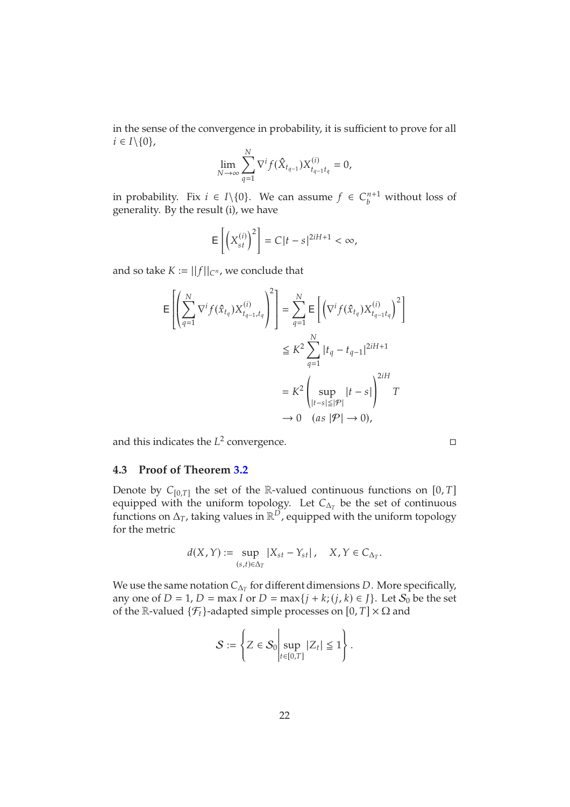in the sense of the convergence in probability, it is sufficient to prove for all  $i \in I \setminus \{0\},\$ 

$$
\lim_{N \to \infty} \sum_{q=1}^{N} \nabla^{i} f(\hat{X}_{t_{q-1}}) X_{t_{q-1}t_q}^{(i)} = 0,
$$

in probability. Fix  $i \in I \setminus \{0\}$ . We can assume  $f \in C_b^{n+1}$  without loss of generality. By the result (i), we have

$$
\mathsf{E}\left[\left(X_{st}^{(i)}\right)^2\right] = C|t-s|^{2iH+1} < \infty,
$$

and so take  $K := ||f||_{C^n}$ , we conclude that

$$
\begin{aligned} \mathsf{E}\left[\left(\sum_{q=1}^N \nabla^i f(\hat{x}_{t_q}) X_{t_{q-1},t_q}^{(i)}\right)^2\right] &= \sum_{q=1}^N \mathsf{E}\left[\left(\nabla^i f(\hat{x}_{t_q}) X_{t_{q-1}t_q}^{(i)}\right)^2\right] \\ &\leq K^2 \sum_{q=1}^N |t_q - t_{q-1}|^{2iH+1} \\ &= K^2 \left(\sup_{|t-s| \leq |\mathcal{P}|} |t-s|\right)^{2iH} T \\ &\to 0 \quad (as \ |\mathcal{P}| \to 0), \end{aligned}
$$

and this indicates the  $L^2$  convergence.

### <span id="page-21-0"></span>**4.3 Proof of Theorem [3.2](#page-5-0)**

Denote by  $C_{[0,T]}$  the set of the R-valued continuous functions on  $[0,T]$ equipped with the uniform topology. Let  $C_{\Delta_T}$  be the set of continuous functions on  $\Delta_T$ , taking values in  $\mathbb{R}^D$ , equipped with the uniform topology for the metric

$$
d(X,Y) := \sup_{(s,t)\in\Delta_T} |X_{st} - Y_{st}|, \quad X, Y \in C_{\Delta_T}.
$$

We use the same notation  $C_{\Delta_T}$  for different dimensions  $D.$  More specifically, any one of  $D = 1$ ,  $D = \max I$  or  $D = \max\{j + k; (j, k) \in J\}$ . Let  $S_0$  be the set of the R-valued  $\{\mathcal{F}_t\}$ -adapted simple processes on  $[0, T] \times \Omega$  and

$$
S:=\left\{Z\in\mathcal{S}_0\middle|\sup_{t\in[0,T]}|Z_t|\leq 1\right\}.
$$

 $\mathbb{R}^2$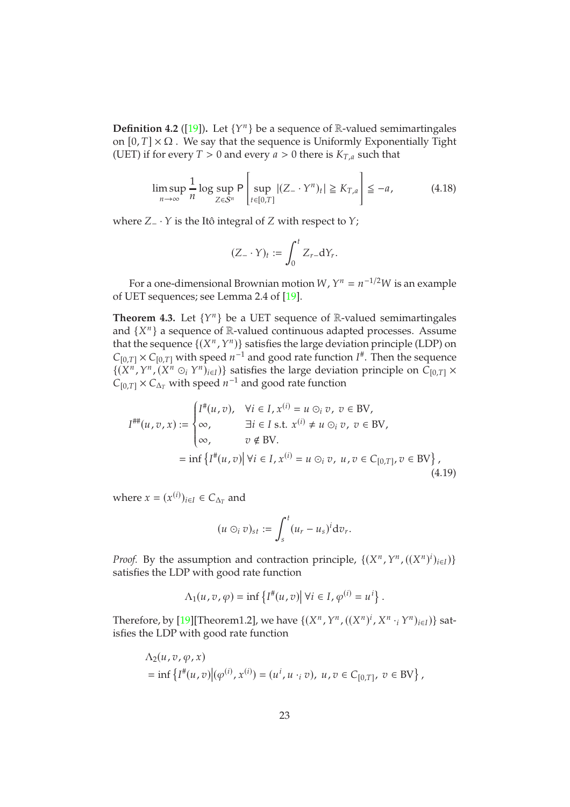**Definition 4.2** ([\[19\]](#page-40-11)). Let  $\{Y^n\}$  be a sequence of R-valued semimartingales on  $[0, T] \times \Omega$ . We say that the sequence is Uniformly Exponentially Tight (UET) if for every  $T > 0$  and every  $a > 0$  there is  $K_{T,a}$  such that

$$
\limsup_{n \to \infty} \frac{1}{n} \log \sup_{Z \in S^n} \mathsf{P}\left[\sup_{t \in [0,T]} |(Z - \mathsf{Y}^n)_t| \ge K_{T,a}\right] \le -a,\tag{4.18}
$$

where  $Z_-\cdot Y$  is the Itô integral of  $Z$  with respect to  $Y$ ;

$$
(Z_{-}\cdot Y)_{t}:=\int_{0}^{t}Z_{r-}\mathrm{d}Y_{r}.
$$

For a one-dimensional Brownian motion W,  $Y^n = n^{-1/2}W$  is an example of UET sequences; see Lemma 2.4 of [\[19\]](#page-40-11).

<span id="page-22-1"></span>**Theorem 4.3.** Let  $\{Y^n\}$  be a UET sequence of R-valued semimartingales and  $\{X^n\}$  a sequence of  $\mathbb R$ -valued continuous adapted processes. Assume that the sequence  $\{(X^n, Y^n)\}$  satisfies the large deviation principle (LDP) on  $C_{[0,T]} \times C_{[0,T]}$  with speed  $n^{-1}$  and good rate function  $I^*$ . Then the sequence  $\{(X^n, Y^n, (X^n \odot_i Y^n)_{i \in I})\}$  satisfies the large deviation principle on  $C_{[0,T]} \times$  $C_{[0,T]} \times C_{\Delta_T}$  with speed  $n^{-1}$  and good rate function

<span id="page-22-0"></span>
$$
I^{\# \#}(u, v, x) := \begin{cases} I^{\#}(u, v), & \forall i \in I, x^{(i)} = u \odot_i v, v \in BV, \\ \infty, & \exists i \in I \text{ s.t. } x^{(i)} \neq u \odot_i v, v \in BV, \\ \infty, & v \notin BV. \end{cases}
$$
  
= inf  $\{I^{\#}(u, v) | \forall i \in I, x^{(i)} = u \odot_i v, u, v \in C_{[0, T]}, v \in BV\},$  (4.19)

where  $x = (x^{(i)})_{i \in I} \in C_{\Delta_T}$  and

$$
(u\odot_i v)_{st}:=\int_s^t (u_r-u_s)^i{\rm d}v_r.
$$

*Proof.* By the assumption and contraction principle,  $\{(X^n, Y^n, ((X^n)^i)_{i\in I})\}$ satisfies the LDP with good rate function

$$
\Lambda_1(u,v,\varphi) = \inf \left\{ I^*(u,v) \middle| \forall i \in I, \varphi^{(i)} = u^i \right\}.
$$

Therefore, by [\[19\]](#page-40-11)[Theorem1.2], we have  $\{(X^n, Y^n, ((X^n)^i, X^n \cdot_i Y^n)_{i\in I})\}$  satisfies the LDP with good rate function

$$
\Lambda_2(u, v, \varphi, x)
$$
  
= inf { $I^{\#}(u, v) | (\varphi^{(i)}, x^{(i)}) = (u^i, u \cdot_i v), u, v \in C_{[0,T]}, v \in BV$  },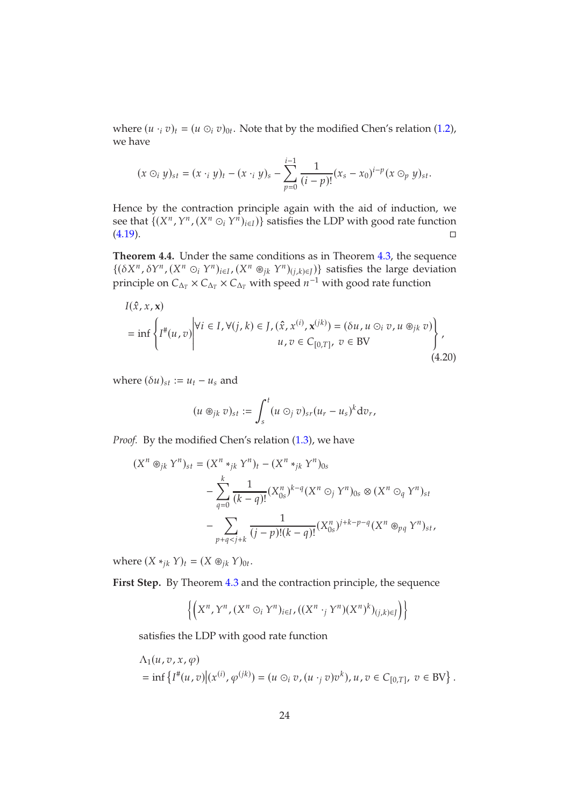where  $(u_i \cdot_i v)_t = (u \odot_i v)_{0t}$ . Note that by the modified Chen's relation [\(1.2\)](#page-2-0), we have

$$
(x \odot_i y)_{st} = (x \cdot_i y)_t - (x \cdot_i y)_s - \sum_{p=0}^{i-1} \frac{1}{(i-p)!} (x_s - x_0)^{i-p} (x \odot_p y)_{st}.
$$

Hence by the contraction principle again with the aid of induction, we see that  $\{(X^n, Y^n, (X^n \odot_i Y^n)_{i \in I})\}$  satisfies the LDP with good rate function  $(4.19)$ .

<span id="page-23-1"></span>**Theorem 4.4.** Under the same conditions as in Theorem [4.3,](#page-22-1) the sequence  $\{(\delta X^n, \delta Y^n, (X^n \odot_i Y^n)_{i \in I}, (X^n \otimes_{jk} Y^n)_{(j,k) \in J})\}$  satisfies the large deviation principle on  $C_{\Delta_T}\times C_{\Delta_T}\times C_{\Delta_T}$  with speed  $n^{-1}$  with good rate function

<span id="page-23-0"></span>
$$
I(\hat{x}, x, \mathbf{x})
$$
  
= inf  $\left\{ I^{\#}(u, v) \middle| \forall i \in I, \forall (j, k) \in J, (\hat{x}, x^{(i)}, \mathbf{x}^{(jk)}) = (\delta u, u \odot_i v, u \circledast_{jk} v) \right\},\$   
 $u, v \in C_{[0, T]}, v \in BV$  (4.20)

where  $(\delta u)_{st} := u_t - u_s$  and

$$
(u\circledast_{jk}v)_{st}:=\int_s^t (u\circledcirc_j v)_{sr}(u_r-u_s)^k{\rm d}v_r,
$$

Proof. By the modified Chen's relation [\(1.3\)](#page-2-1), we have

$$
(X^n \otimes_{jk} Y^n)_{st} = (X^n *_{jk} Y^n)_t - (X^n *_{jk} Y^n)_{0s}
$$
  

$$
- \sum_{q=0}^k \frac{1}{(k-q)!} (X_{0s}^n)^{k-q} (X^n \odot_j Y^n)_{0s} \otimes (X^n \odot_q Y^n)_{st}
$$
  

$$
- \sum_{p+q < j+k} \frac{1}{(j-p)!(k-q)!} (X_{0s}^n)^{j+k-p-q} (X^n \otimes_{pq} Y^n)_{st},
$$

where  $(X *_{jk} Y)_t = (X \otimes_{jk} Y)_{0t}$ .

First Step. By Theorem [4](#page-22-1).3 and the contraction principle, the sequence

$$
\left\{\left(X^n,Y^n,(X^n\odot_iY^n)_{i\in I},((X^n\cdot_jY^n)(X^n)^k)_{(j,k)\in J}\right)\right\}
$$

satisfies the LDP with good rate function

$$
\Lambda_1(u, v, x, \varphi) = \inf \left\{ I^*(u, v) \middle| (x^{(i)}, \varphi^{(jk)}) = (u \odot_i v, (u \cdot_j v)v^k), u, v \in C_{[0,T]}, v \in BV \right\}.
$$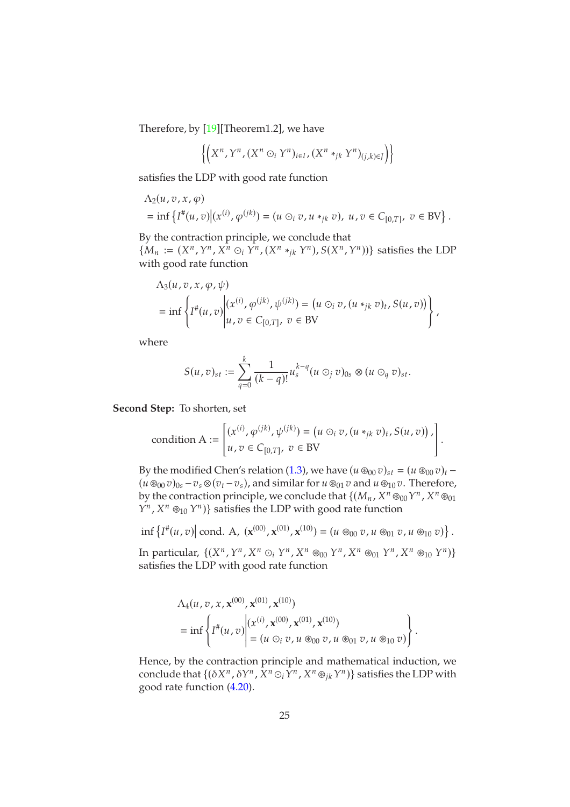Therefore, by [\[19\]](#page-40-11)[Theorem1.2], we have

$$
\left\{\left(X^n,Y^n,(X^n\odot_iY^n)_{i\in I},(X^n*_{jk}Y^n)_{(j,k)\in J}\right)\right\}
$$

satisfies the LDP with good rate function

$$
\Lambda_2(u, v, x, \varphi)
$$
  
= inf { $I^*(u, v)$  | $(x^{(i)}, \varphi^{(jk)})$  =  $(u \odot_i v, u *_{jk} v), u, v \in C_{[0,T]}, v \in BV$  }.

By the contraction principle, we conclude that  $\{M_n := (X^n, Y^n, X^n \odot_i Y^n, (X^n *_{jk} Y^n), S(X^n, Y^n))\}$  satisfies the LDP with good rate function

$$
\Lambda_3(u, v, x, \varphi, \psi)
$$
\n
$$
= \inf \left\{ I^*(u, v) \middle| \begin{aligned} (x^{(i)}, \varphi^{(jk)}, \psi^{(jk)}) &= \left( u \odot_i v, (u \ast_{jk} v)_t, S(u, v) \right) \\ u, v &\in C_{[0, T]}, \ v \in BV \end{aligned} \right\} \middle\} \middle\}
$$

where

$$
S(u,v)_{st} := \sum_{q=0}^k \frac{1}{(k-q)!} u_s^{k-q} (u \odot_j v)_{0s} \otimes (u \odot_q v)_{st}.
$$

**Second Step:** To shorten, set

$$
\text{condition A} := \begin{bmatrix} (x^{(i)}, \varphi^{(jk)}, \psi^{(jk)}) = (u \odot_i v, (u *_{jk} v)_t, S(u, v)) \, , \\ u, v \in C_{[0,T]}, \ v \in BV \end{bmatrix}.
$$

By the modified Chen's relation [\(1.3\)](#page-2-1), we have  $(u \otimes_{00} v)_{st} = (u \otimes_{00} v)_{t}$  –  $(u \otimes_{00} v)_{0s} - v_s \otimes (v_t - v_s)$ , and similar for  $u \otimes_{01} v$  and  $u \otimes_{10} v$ . Therefore, by the contraction principle, we conclude that  $\{(M_n, X^n \otimes_{00} Y^n, X^n \otimes_{01} Y^n)\}$  $Y^n$ ,  $X^n \otimes_{10} Y^n$  satisfies the LDP with good rate function

$$
\inf \left\{ I^{*}(u,v) \middle| \text{ cond. A}, \; (\mathbf{x}^{(00)},\mathbf{x}^{(01)},\mathbf{x}^{(10)}) = (u \circledast_{00} v, u \circledast_{01} v, u \circledast_{10} v) \right\}.
$$

In particular,  $\{(X^n, Y^n, X^n \odot_i Y^n, X^n \circledast_{00} Y^n, X^n \circledast_{01} Y^n, X^n \circledast_{10} Y^n)\}$ satisfies the LDP with good rate function

$$
\Lambda_4(u, v, x, \mathbf{x}^{(00)}, \mathbf{x}^{(01)}, \mathbf{x}^{(10)})
$$
\n
$$
= \inf \left\{ I^{\#}(u, v) \middle| \begin{aligned} (x^{(i)}, \mathbf{x}^{(00)}, \mathbf{x}^{(01)}, \mathbf{x}^{(10)}) \\ = (u \odot_i v, u \circledast_{00} v, u \circledast_{01} v, u \circledast_{10} v) \end{aligned} \right\}.
$$

Hence, by the contraction principle and mathematical induction, we conclude that  $\{(\delta X^n, \delta Y^n, X^n \odot_i Y^n, X^n \circledast_{jk} Y^n)\}$  satisfies the LDP with good rate function [\(4.20\)](#page-23-0).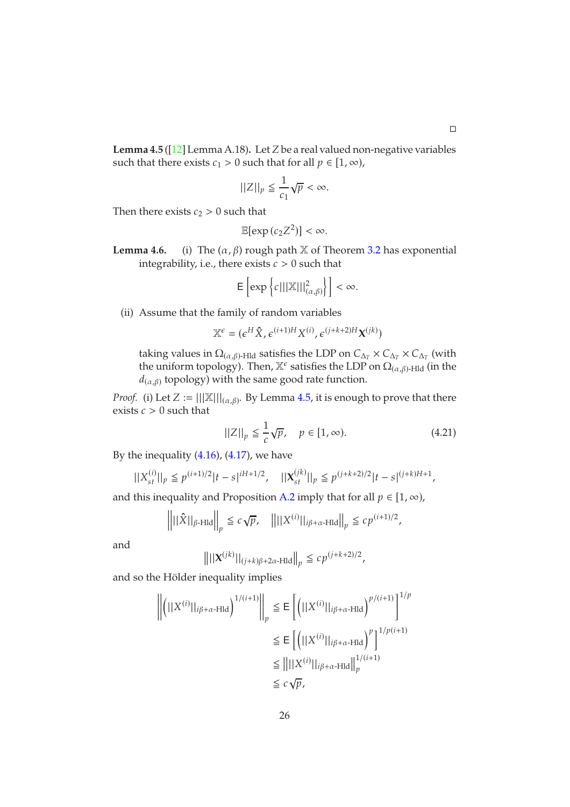<span id="page-25-0"></span>**Lemma 4.5** ( $\left[12\right]$  Lemma A.18). Let Z be a real valued non-negative variables such that there exists  $c_1 > 0$  such that for all  $p \in [1, \infty)$ ,

$$
||Z||_p \leq \frac{1}{c_1} \sqrt{p} < \infty.
$$

Then there exists  $c_2 > 0$  such that

$$
\mathbb{E}[\exp\left(c_2 Z^2\right)] < \infty.
$$

**Lemma 4.6.** (i) The  $(\alpha, \beta)$  rough path X of Theorem [3.2](#page-5-0) has exponential integrability, i.e., there exists  $c > 0$  such that

$$
\mathsf{E}\left[\exp\left\{c|||\mathbb{X}||_{(\alpha,\beta)}^2\right\}\right]<\infty.
$$

(ii) Assume that the family of random variables

$$
\mathbb{X}^{\epsilon} = (\epsilon^H \hat{X}, \epsilon^{(i+1)H} X^{(i)}, \epsilon^{(j+k+2)H} \mathbf{X}^{(jk)})
$$

taking values in  $\Omega_{(\alpha,\beta)}$ -Hld satisfies the LDP on  $C_{\Delta_T} \times C_{\Delta_T} \times C_{\Delta_T}$  (with the uniform topology). Then,  $\mathbb{X}^{\epsilon}$  satisfies the LDP on  $\Omega_{(\alpha,\beta)}$ -Hld (in the  $d_{(\alpha,\beta)}$  topology) with the same good rate function.

*Proof.* (i) Let  $Z := |||X|||_{(\alpha,\beta)}$ . By Lemma [4.5,](#page-25-0) it is enough to prove that there exists  $c > 0$  such that

<span id="page-25-1"></span>
$$
||Z||_p \le \frac{1}{c}\sqrt{p}, \quad p \in [1, \infty). \tag{4.21}
$$

By the inequality  $(4.16)$ ,  $(4.17)$ , we have

$$
||X_{st}^{(i)}||_p \le p^{(i+1)/2} |t-s|^{iH+1/2}, \quad ||X_{st}^{(jk)}||_p \le p^{(j+k+2)/2} |t-s|^{(j+k)H+1},
$$

and this inequality and Proposition [A.2](#page-27-0) imply that for all  $p \in [1, \infty)$ ,

$$
\left\| \left\| \hat{X} \right\|_{\beta \text{-Hld}} \right\|_p \leq c \sqrt{p}, \quad \left\| \left\| |X^{(i)}| \right\|_{i\beta + \alpha \text{-Hld}} \right\|_p \leq c p^{(i+1)/2},
$$

and

$$
\left\| ||\mathbf{X}^{(jk)}||_{(j+k)\beta+2\alpha\text{-Hld}} \right\|_p \leq c p^{(j+k+2)/2},
$$

and so the Hölder inequality implies

$$
\left\| \left( ||X^{(i)}||_{i\beta + \alpha + \text{Hld}} \right)^{1/(i+1)} \right\|_p \le \mathsf{E} \left[ \left( ||X^{(i)}||_{i\beta + \alpha + \text{Hld}} \right)^{p/(i+1)} \right]^{1/p}
$$
  
\n
$$
\le \mathsf{E} \left[ \left( ||X^{(i)}||_{i\beta + \alpha + \text{Hld}} \right)^p \right]^{1/p(i+1)}
$$
  
\n
$$
\le \left\| ||X^{(i)}||_{i\beta + \alpha + \text{Hld}} \right\|_p^{1/(i+1)}
$$
  
\n
$$
\le c \sqrt{p},
$$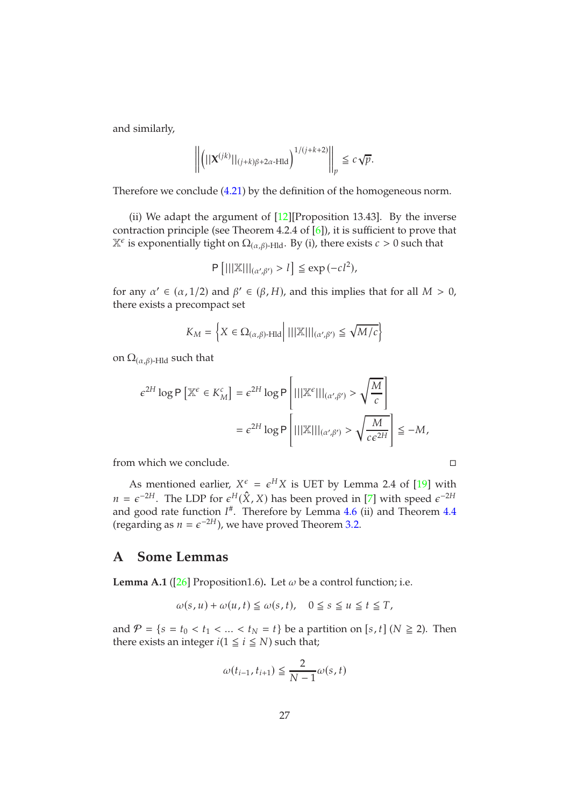and similarly,

$$
\left\| \left( ||\mathbf{X}^{(jk)}||_{(j+k)\beta+2\alpha\text{-Hld}} \right)^{1/(j+k+2)} \right\|_p \leq c\sqrt{p}.
$$

Therefore we conclude [\(4.21\)](#page-25-1) by the definition of the homogeneous norm.

(ii) We adapt the argument of  $[12]$ [Proposition 13.43]. By the inverse contraction principle (see Theorem 4.2.4 of [\[6\]](#page-39-13)), it is sufficient to prove that  $\mathbb{X}^{\epsilon}$  is exponentially tight on  $\Omega_{(\alpha,\beta)}$ -Hld. By (i), there exists  $c > 0$  such that

$$
\mathsf{P}\left[|||\mathbb{X}|||_{(\alpha',\beta')} > l\right] \leqq \exp\left(-c l^2\right),
$$

for any  $\alpha' \in (\alpha, 1/2)$  and  $\beta' \in (\beta, H)$ , and this implies that for all  $M > 0$ , there exists a precompact set

$$
K_M = \left\{ X \in \Omega_{(\alpha,\beta)\text{-Hld}} \middle| \ ||\mathbb{X}||_{(\alpha',\beta')} \le \sqrt{M/c} \right\}
$$

on  $\Omega_{(\alpha,\beta)}$ -Hld such that

$$
\begin{aligned} \epsilon^{2H} \log \mathsf{P} \left[ \mathbb{X}^{\epsilon} \in K_{M}^{c} \right] &= \epsilon^{2H} \log \mathsf{P} \left[ ||| \mathbb{X}^{\epsilon} |||_{(\alpha^{\prime}, \beta^{\prime})} > \sqrt{\frac{M}{c}} \right] \\ &= \epsilon^{2H} \log \mathsf{P} \left[ ||| \mathbb{X} |||_{(\alpha^{\prime}, \beta^{\prime})} > \sqrt{\frac{M}{c \epsilon^{2H}}} \right] \leq -M, \end{aligned}
$$

from which we conclude.

As mentioned earlier,  $X^{\epsilon} = \epsilon^H X$  is UET by Lemma 2.4 of [\[19\]](#page-40-11) with  $n = \epsilon^{-2H}$ . The LDP for  $\epsilon^H(\hat{X}, X)$  has been proved in [\[7\]](#page-39-1) with speed  $\epsilon^{-2H}$ and good rate function  $I^{\#}$ . Therefore by Lemma 4.6 (ii) and Theorem [4.4](#page-23-1) (regarding as  $n = \epsilon^{-2H}$ ), we have proved Theorem 3.[2.](#page-5-0)

### **A Some Lemmas**

<span id="page-26-0"></span>**Lemma A.1** ( $[26]$  Proposition1.6). Let  $\omega$  be a control function; i.e.

$$
\omega(s, u) + \omega(u, t) \le \omega(s, t), \quad 0 \le s \le u \le t \le T,
$$

and  $\mathcal{P} = \{s = t_0 < t_1 < \ldots < t_N = t\}$  be a partition on [s, t] ( $N \geq 2$ ). Then there exists an integer  $i(1 \leq i \leq N)$  such that;

$$
\omega(t_{i-1}, t_{i+1}) \leq \frac{2}{N-1} \omega(s, t)
$$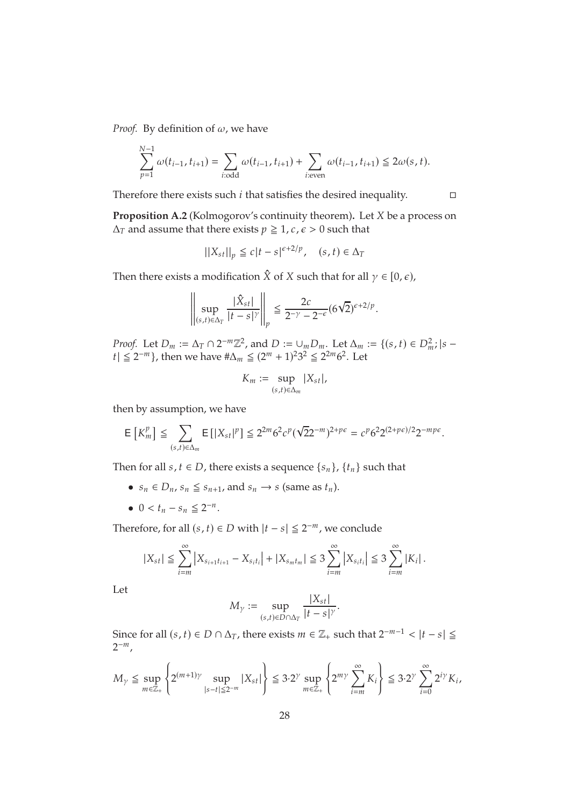*Proof.* By definition of  $\omega$ , we have

 $\frac{1}{2}$ 

$$
\sum_{p=1}^{N-1} \omega(t_{i-1}, t_{i+1}) = \sum_{i: odd} \omega(t_{i-1}, t_{i+1}) + \sum_{i: even} \omega(t_{i-1}, t_{i+1}) \leq 2\omega(s, t).
$$

Therefore there exists such  $i$  that satisfies the desired inequality.  $\Box$ 

<span id="page-27-0"></span>**Proposition A.2** (Kolmogorov's continuity theorem). Let *X* be a process on  $\Delta_T$  and assume that there exists  $p \geq 1$ ,  $c, \epsilon > 0$  such that

$$
||X_{st}||_p \le c|t-s|^{\epsilon+2/p}, \quad (s,t) \in \Delta_T
$$

Then there exists a modification  $\hat{X}$  of  $X$  such that for all  $\gamma \in [0, \epsilon)$ ,

$$
\left\|\sup_{(s,t)\in\Delta_T} \frac{|\hat{X}_{st}|}{|t-s|^\gamma}\right\|_p \leq \frac{2c}{2^{-\gamma}-2^{-\epsilon}} (6\sqrt{2})^{\epsilon+2/p}.
$$

*Proof.* Let  $D_m := \Delta_T \cap 2^{-m}\mathbb{Z}^2$ , and  $D := \bigcup_m D_m$ . Let  $\Delta_m := \{(s, t) \in D_m^2\}$ ;  $|s |t|$  ≤ 2<sup>-m</sup>}, then we have # $\Delta_m$  ≤ (2<sup>m</sup> + 1)<sup>2</sup>3<sup>2</sup> ≤ 2<sup>2m</sup> 6<sup>2</sup>. Let

$$
K_m:=\sup_{(s,t)\in\Delta_m}|X_{st}|,
$$

then by assumption, we have

$$
\mathsf{E}\left[K^p_m\right] \leq \sum_{(s,t)\in\Delta_m} \mathsf{E}\left[|X_{st}|^p\right] \leq 2^{2m}6^2c^p(\sqrt{2}2^{-m})^{2+p\epsilon} = c^p6^22^{(2+p\epsilon)/2}2^{-mp\epsilon}.
$$

Then for all  $s, t \in D$ , there exists a sequence  $\{s_n\}$ ,  $\{t_n\}$  such that

- $s_n \in D_n$ ,  $s_n \leq s_{n+1}$ , and  $s_n \to s$  (same as  $t_n$ ).
- $0 < t_n s_n \leq 2^{-n}$ .

Therefore, for all  $(s, t) \in D$  with  $|t - s| \leq 2^{-m}$ , we conclude

$$
|X_{st}| \leq \sum_{i=m}^{\infty} |X_{s_{i+1}t_{i+1}} - X_{s_it_i}| + |X_{s_mt_m}| \leq 3 \sum_{i=m}^{\infty} |X_{s_it_i}| \leq 3 \sum_{i=m}^{\infty} |K_i|.
$$

Let

$$
M_{\gamma} := \sup_{(s,t)\in D\cap \Delta_T} \frac{|X_{st}|}{|t-s|^{\gamma}}.
$$

Since for all  $(s, t) \in D \cap \Delta_T$ , there exists  $m \in \mathbb{Z}_+$  such that  $2^{-m-1} < |t - s| \le$  $2^{-m}$ ,

$$
M_{\gamma} \le \sup_{m \in \mathbb{Z}_+} \left\{ 2^{(m+1)\gamma} \sup_{|s-t| \le 2^{-m}} |X_{st}| \right\} \le 3 \cdot 2^{\gamma} \sup_{m \in \mathbb{Z}_+} \left\{ 2^{m\gamma} \sum_{i=m}^{\infty} K_i \right\} \le 3 \cdot 2^{\gamma} \sum_{i=0}^{\infty} 2^{i\gamma} K_i,
$$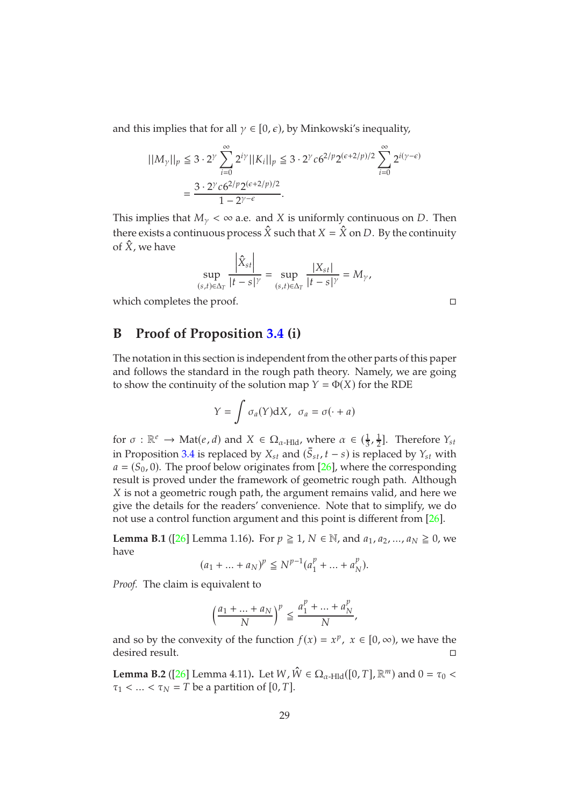and this implies that for all  $\gamma \in [0, \epsilon)$ , by Minkowski's inequality,

$$
||M_{\gamma}||_{p} \le 3 \cdot 2^{\gamma} \sum_{i=0}^{\infty} 2^{i\gamma} ||K_{i}||_{p} \le 3 \cdot 2^{\gamma} c 6^{2/p} 2^{(\epsilon+2/p)/2} \sum_{i=0}^{\infty} 2^{i(\gamma-\epsilon)} = \frac{3 \cdot 2^{\gamma} c 6^{2/p} 2^{(\epsilon+2/p)/2}}{1 - 2^{\gamma-\epsilon}}.
$$

This implies that  $M_{\gamma} < \infty$  a.e. and X is uniformly continuous on D. Then there exists a continuous process  $\hat{X}$  such that  $X = \hat{X}$  on D. By the continuity of  $\hat{X}$ , we have

$$
\sup_{(s,t)\in\Delta_T} \frac{\left|\hat{X}_{st}\right|}{|t-s|^\gamma} = \sup_{(s,t)\in\Delta_T} \frac{\left|X_{st}\right|}{|t-s|^\gamma} = M_\gamma,
$$

which completes the proof.

## **B Proof of Proposition [3.4](#page-6-1) (i)**

The notation in this section is independent from the other parts of this paper and follows the standard in the rough path theory. Namely, we are going to show the continuity of the solution map  $Y = \Phi(X)$  for the RDE

$$
Y = \int \sigma_a(Y) dX, \ \sigma_a = \sigma(\cdot + a)
$$

for  $\sigma : \mathbb{R}^e \to \text{Mat}(e, d)$  and  $X \in \Omega_{\alpha$ -Hld, where  $\alpha \in (\frac{1}{3}, \frac{1}{2})$  $\frac{1}{2}$ ]. Therefore  $Y_{st}$ in Proposition [3.4](#page-6-1) is replaced by  $X_{st}$  and  $(S_{st}, t - s)$  is replaced by  $Y_{st}$  with  $a = (S_0, 0)$ . The proof below originates from [\[26\]](#page-40-13), where the corresponding result is proved under the framework of geometric rough path. Although X is not a geometric rough path, the argument remains valid, and here we give the details for the readers' convenience. Note that to simplify, we do not use a control function argument and this point is different from [\[26\]](#page-40-13).

<span id="page-28-0"></span>**Lemma B.1** ([\[26\]](#page-40-13) Lemma 1.16). For  $p \ge 1$ ,  $N \in \mathbb{N}$ , and  $a_1, a_2, ..., a_N \ge 0$ , we have

$$
(a_1 + \dots + a_N)^p \le N^{p-1}(a_1^p + \dots + a_N^p).
$$

*Proof.* The claim is equivalent to

$$
\left(\frac{a_1 + \dots + a_N}{N}\right)^p \le \frac{a_1^p + \dots + a_N^p}{N},
$$

and so by the convexity of the function  $f(x) = x^p$ ,  $x \in [0, \infty)$ , we have the desired result.

<span id="page-28-1"></span>**Lemma B.2** ([\[26\]](#page-40-13) Lemma 4.11). Let  $W, \hat{W} \in \Omega_{\alpha$ -Hld $([0, T], \mathbb{R}^m)$  and  $0 = \tau_0 <$  $\tau_1$  < ... <  $\tau_N$  = T be a partition of [0, T].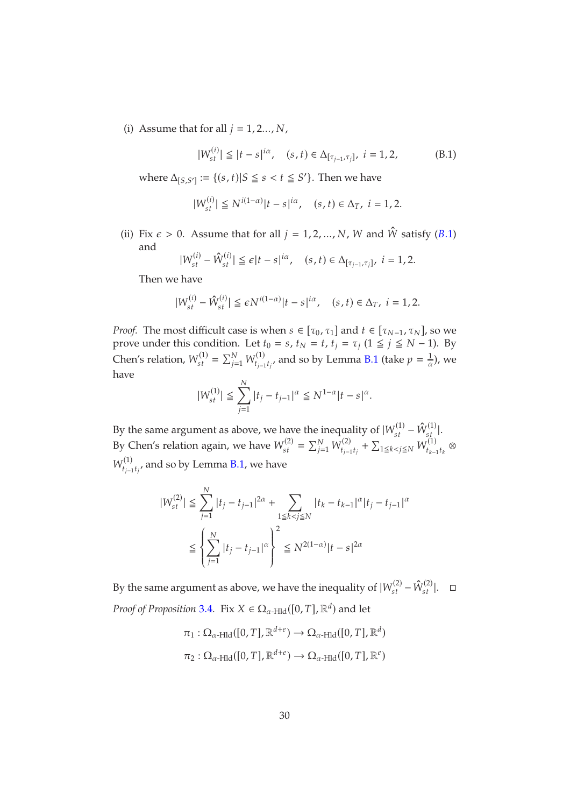(i) Assume that for all  $j = 1, 2, \ldots, N$ ,

<span id="page-29-0"></span>
$$
|W_{st}^{(i)}| \le |t - s|^{i\alpha}, \quad (s, t) \in \Delta_{[\tau_{j-1}, \tau_j]}, \ i = 1, 2,
$$
 (B.1)

where  $\Delta_{[S,S']} := \{(s,t)|S \leq s < t \leq S'\}$ . Then we have

$$
|W_{st}^{(i)}| \le N^{i(1-\alpha)}|t-s|^{i\alpha}, \quad (s,t) \in \Delta_T, \ i = 1,2.
$$

(ii) Fix  $\epsilon > 0$ . Assume that for all  $j = 1, 2, ..., N$ , W and  $\hat{W}$  satisfy (B.1) and

$$
|W_{st}^{(i)} - \hat{W}_{st}^{(i)}| \leq \epsilon |t - s|^{i\alpha}, \quad (s, t) \in \Delta_{[\tau_{j-1}, \tau_j]}, \quad i = 1, 2.
$$

Then we have

$$
|W_{st}^{(i)} - \hat{W}_{st}^{(i)}| \le \epsilon N^{i(1-\alpha)} |t - s|^{i\alpha}, \quad (s, t) \in \Delta_T, \ i = 1, 2.
$$

*Proof.* The most difficult case is when  $s \in [\tau_0, \tau_1]$  and  $t \in [\tau_{N-1}, \tau_N]$ , so we prove under this condition. Let  $t_0 = s$ ,  $t_N = t$ ,  $t_j = \tau_j$  ( $1 \le j \le N - 1$ ). By Chen's relation,  $W_{st}^{(1)} = \sum_{j=1}^{N} W_{t_{j-1}}^{(1)}$  $J^{(1)}_{t_{j-1}t_{j'}}$  and so by Lemma [B.1](#page-28-0) (take  $p=\frac{1}{\alpha}$  $\frac{1}{\alpha}$ ), we have

$$
|W_{st}^{(1)}| \le \sum_{j=1}^N |t_j - t_{j-1}|^{\alpha} \le N^{1-\alpha} |t - s|^{\alpha}.
$$

By the same argument as above, we have the inequality of  $|W_{st}^{(1)} - \hat{W}_{st}^{(1)}|$ . By Chen's relation again, we have  $W_{st}^{(2)} = \sum_{j=1}^{N} W_{t_{j-1}}^{(2)}$  $\mathcal{W}_{t_{j-1}t_j}^{(2)} + \sum_{1 \leq k < j \leq N} W_{t_{k-1}}^{(1)}$  $\sum_{k=1}^{k} t_k$  $W_{t_{i-1}}^{(1)}$  $\sum_{t_{j-1}t_j}^{(1)}$ , and so by Lemma [B.1,](#page-28-0) we have

$$
|W_{st}^{(2)}| \le \sum_{j=1}^{N} |t_j - t_{j-1}|^{2\alpha} + \sum_{1 \le k < j \le N} |t_k - t_{k-1}|^{\alpha} |t_j - t_{j-1}|^{\alpha}
$$
\n
$$
\le \left\{ \sum_{j=1}^{N} |t_j - t_{j-1}|^{\alpha} \right\}^2 \le N^{2(1-\alpha)} |t - s|^{2\alpha}
$$

By the same argument as above, we have the inequality of  $|W_{st}^{(2)} - \hat{W}_{st}^{(2)}|$ . *Proof of Proposition* [3](#page-6-1).4. Fix  $X \in \Omega_{\alpha$ -Hld $}([0, T], \mathbb{R}^d)$  and let

> $\pi_1: \Omega_{\alpha\text{-Hld}}([0,T], \mathbb{R}^{d+e}) \to \Omega_{\alpha\text{-Hld}}([0,T], \mathbb{R}^d)$  $\pi_2 : \Omega_{\alpha\text{-Hld}}([0,T], \mathbb{R}^{d+e}) \to \Omega_{\alpha\text{-Hld}}([0,T], \mathbb{R}^e)$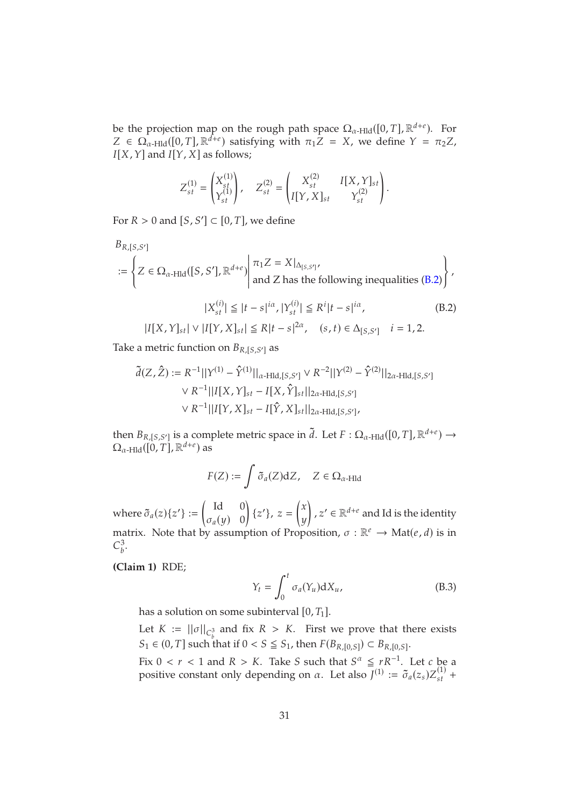be the projection map on the rough path space  $\Omega_{\alpha$ -Hld([0, *T*],  $\mathbb{R}^{d+e}$ ). For  $Z \in \Omega_{\alpha\text{-Hld}}([0,T], \mathbb{R}^{\hat{d}+\epsilon})$  satisfying with  $\pi_1 Z = X$ , we define  $Y = \pi_2 Z$ ,  $I[X, Y]$  and  $I[Y, X]$  as follows;

$$
Z_{st}^{(1)} = \begin{pmatrix} X_{st}^{(1)} \\ Y_{st}^{(1)} \end{pmatrix}, \quad Z_{st}^{(2)} = \begin{pmatrix} X_{st}^{(2)} & I[X,Y]_{st} \\ I[Y,X]_{st} & Y_{st}^{(2)} \end{pmatrix}.
$$

For  $R > 0$  and  $[S, S'] \subset [0, T]$ , we define

$$
B_{R,[S,S']}
$$
  
:= 
$$
\left\{ Z \in \Omega_{\alpha\text{-Hld}}([S,S'],\mathbb{R}^{d+e}) \middle| \begin{array}{l} \pi_1 Z = X|_{\Delta_{[S,S']}} \\ \text{and } Z \text{ has the following inequalities (B.2)} \end{array} \right\},
$$

$$
|X_{\alpha t}^{(i)}| \leq |t-s|^{\alpha}, |Y_{\alpha t}^{(i)}| \leq R^i |t-s|^{\alpha}, \tag{B.2}
$$

<span id="page-30-0"></span>
$$
|X_{st}^{(i)}| \leq |t - s|^{i\alpha}, |Y_{st}^{(i)}| \leq R^i |t - s|^{i\alpha},
$$
\n
$$
|I[X, Y]_{st}| \vee |I[Y, X]_{st}| \leq R|t - s|^{2\alpha}, \quad (s, t) \in \Delta_{[S, S']} \quad i = 1, 2.
$$
\n(B.2)

Take a metric function on  $B_{R,[S,S']}$  as

$$
\tilde{d}(Z, \hat{Z}) := R^{-1}||Y^{(1)} - \hat{Y}^{(1)}||_{\alpha\text{-Hld},[S,S']} \vee R^{-2}||Y^{(2)} - \hat{Y}^{(2)}||_{2\alpha\text{-Hld},[S,S']}
$$
\n
$$
\vee R^{-1}||I[X, Y]_{st} - I[X, \hat{Y}]_{st}||_{2\alpha\text{-Hld},[S,S']}
$$
\n
$$
\vee R^{-1}||I[Y, X]_{st} - I[\hat{Y}, X]_{st}||_{2\alpha\text{-Hld},[S,S']},
$$

then  $B_{R,[S,S']}$  is a complete metric space in  $\tilde{d}$ . Let  $F: \Omega_{\alpha\text{-Hld}}([0,T], \mathbb{R}^{d+e}) \to \Omega_{\alpha\text{-Hld}}([0,T], \mathbb{R}^{d+e})$  as

$$
F(Z):=\int \tilde{\sigma}_a(Z) {\rm d}Z, \quad Z\in \Omega_{\alpha\text{-Hld}}
$$

where  $\tilde{\sigma}_a(z)\{z'\}$  :=  $\int$  Id 0  $\sigma_a(y)$  0  $\overline{\phantom{0}}$  $\{z'\}, z =$  $\int x$  $\hat{y}$  $\overline{1}$ ,  $z' \in \mathbb{R}^{d+e}$  and Id is the identity matrix. Note that by assumption of Proposition,  $\sigma : \mathbb{R}^e \to \text{Mat}(e, d)$  is in  $C_h^3$ s.<br>b

**(Claim 1)** RDE;

<span id="page-30-1"></span>
$$
Y_t = \int_0^t \sigma_a(Y_u) dX_u, \tag{B.3}
$$

has a solution on some subinterval  $[0, T_1]$ .

Let  $K := ||\sigma||_{C_b^3}$  and fix  $R > K$ . First we prove that there exists  $S_1 \in (0, T]$  such that if  $0 < S \leq S_1$ , then  $F(B_{R,[0,S]}) \subset B_{R,[0,S]}.$ 

Fix  $0 < r < 1$  and  $R > K$ . Take S such that  $S^{\alpha} \leq rR^{-1}$ . Let c be a positive constant only depending on  $\alpha$ . Let also  $J^{(1)} := \tilde{\sigma}_a(z_s) Z_{st}^{(1)} +$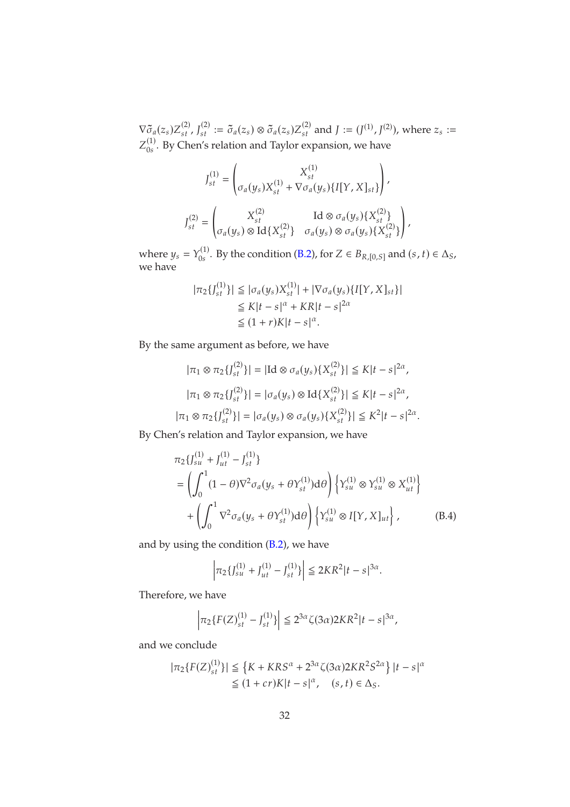$\nabla \tilde{\sigma}_a(z_s) Z_{st}^{(2)}$ ,  $J_{st}^{(2)} := \tilde{\sigma}_a(z_s) \otimes \tilde{\sigma}_a(z_s) Z_{st}^{(2)}$  and  $J := (J^{(1)}, J^{(2)})$ , where  $z_s :=$  $Z_{0s}^{(1)}$ . By Chen's relation and Taylor expansion, we have

$$
J_{st}^{(1)} = \begin{pmatrix} X_{st}^{(1)} \\ \sigma_a(y_s)X_{st}^{(1)} + \nabla \sigma_a(y_s)\{I[Y, X]_{st}\} \end{pmatrix},
$$
  

$$
J_{st}^{(2)} = \begin{pmatrix} X_{st}^{(2)} & \text{Id} \otimes \sigma_a(y_s)\{X_{st}^{(2)}\} \\ \sigma_a(y_s) \otimes \text{Id}\{X_{st}^{(2)}\} & \sigma_a(y_s) \otimes \sigma_a(y_s)\{X_{st}^{(2)}\} \end{pmatrix},
$$

where  $y_s = Y_{0s}^{(1)}$ . By the condition [\(B.2\)](#page-30-0), for  $Z \in B_{R,[0,S]}$  and  $(s, t) \in \Delta_S$ , we have

$$
|\pi_2\{J_{st}^{(1)}\}| \leq |\sigma_a(y_s)X_{st}^{(1)}| + |\nabla\sigma_a(y_s)\{I[Y, X]_{st}\}|
$$
  
\n
$$
\leq K|t - s|^{\alpha} + KR|t - s|^{2\alpha}
$$
  
\n
$$
\leq (1+r)K|t - s|^{\alpha}.
$$

By the same argument as before, we have

$$
|\pi_1 \otimes \pi_2\{J_{st}^{(2)}\}| = |\text{Id} \otimes \sigma_a(y_s)\{X_{st}^{(2)}\}| \le K|t-s|^{2\alpha},
$$
  

$$
|\pi_1 \otimes \pi_2\{J_{st}^{(2)}\}| = |\sigma_a(y_s) \otimes \text{Id}\{X_{st}^{(2)}\}| \le K|t-s|^{2\alpha},
$$
  

$$
|\pi_1 \otimes \pi_2\{J_{st}^{(2)}\}| = |\sigma_a(y_s) \otimes \sigma_a(y_s)\{X_{st}^{(2)}\}| \le K^2|t-s|^{2\alpha}.
$$

By Chen's relation and Taylor expansion, we have

$$
\pi_2 \{ J_{su}^{(1)} + J_{ut}^{(1)} - J_{st}^{(1)} \}
$$
\n
$$
= \left( \int_0^1 (1 - \theta) \nabla^2 \sigma_a (y_s + \theta Y_{st}^{(1)}) d\theta \right) \left\{ Y_{su}^{(1)} \otimes Y_{su}^{(1)} \otimes X_{ut}^{(1)} \right\}
$$
\n
$$
+ \left( \int_0^1 \nabla^2 \sigma_a (y_s + \theta Y_{st}^{(1)}) d\theta \right) \left\{ Y_{su}^{(1)} \otimes I[Y, X]_{ut} \right\}, \tag{B.4}
$$

and by using the condition  $(B.2)$ , we have

<span id="page-31-0"></span>
$$
\left| \pi_2 \{ J_{su}^{(1)} + J_{ut}^{(1)} - J_{st}^{(1)} \} \right| \le 2KR^2 |t - s|^{3\alpha}.
$$

Therefore, we have

$$
\left|\pi_2\{F(Z)^{(1)}_{st}-J^{(1)}_{st}\}\right|\leqq 2^{3\alpha}\zeta(3\alpha)2KR^2|t-s|^{3\alpha},
$$

and we conclude

$$
|\pi_2\{F(Z)_{st}^{(1)}\}| \leq \left\{K + KRS^{\alpha} + 2^{3\alpha}\zeta(3\alpha)2KR^2S^{2\alpha}\right\}|t-s|^{\alpha}
$$
  
 
$$
\leq (1+cr)K|t-s|^{\alpha}, \quad (s,t) \in \Delta_S.
$$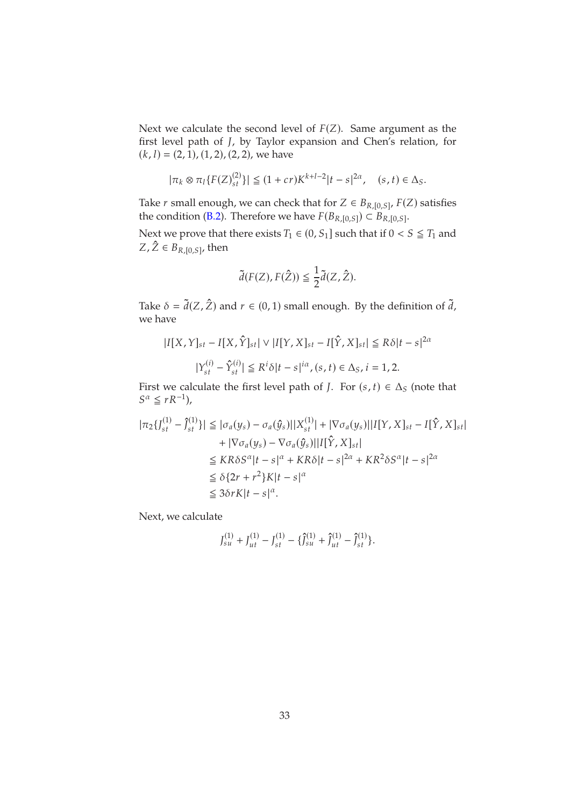Next we calculate the second level of  $F(Z)$ . Same argument as the first level path of *J*, by Taylor expansion and Chen's relation, for  $(k, l) = (2, 1), (1, 2), (2, 2),$  we have

$$
|\pi_k \otimes \pi_l \{ F(Z)_{st}^{(2)} \} | \le (1 + cr) K^{k+l-2} |t - s|^{2\alpha}, \quad (s, t) \in \Delta_S.
$$

Take *r* small enough, we can check that for  $Z \in B_{R,[0,S]}, F(Z)$  satisfies the condition [\(B.2\)](#page-30-0). Therefore we have  $F(B_{R,[0,S]}) \subset B_{R,[0,S]}.$ 

Next we prove that there exists  $T_1 \in (0, S_1]$  such that if  $0 < S \leq T_1$  and  $Z$  ,  $Z \in B_{R,[0,S]}$ , then

$$
\tilde{d}(F(Z),F(\hat{Z})) \leqq \frac{1}{2}\tilde{d}(Z,\hat{Z}).
$$

Take  $\delta = \tilde{d}(Z, \hat{Z})$  and  $r \in (0, 1)$  small enough. By the definition of  $\tilde{d}$ , we have

$$
|I[X,Y]_{st} - I[X,\hat{Y}]_{st}| \vee |I[Y,X]_{st} - I[\hat{Y},X]_{st}| \leq R\delta|t-s|^{2\alpha}
$$

$$
|Y_{st}^{(i)} - \hat{Y}_{st}^{(i)}| \leq R^i \delta|t-s|^{i\alpha}, (s,t) \in \Delta_S, i = 1,2.
$$

First we calculate the first level path of *J*. For  $(s, t) \in \Delta_S$  (note that  $S^{\alpha} \leq rR^{-1}$ ),

$$
|\pi_2\{J_{st}^{(1)} - \hat{J}_{st}^{(1)}\}| \leq |\sigma_a(y_s) - \sigma_a(\hat{y}_s)||X_{st}^{(1)}| + |\nabla \sigma_a(y_s)||I[Y, X]_{st} - I[\hat{Y}, X]_{st}|
$$
  
+ 
$$
|\nabla \sigma_a(y_s) - \nabla \sigma_a(\hat{y}_s)||I[\hat{Y}, X]_{st}|
$$
  
\$\leq KR\delta S^{\alpha}|t - s|^{\alpha} + KR\delta|t - s|^{2\alpha} + KR^2\delta S^{\alpha}|t - s|^{2\alpha}\$  
\$\leq \delta\{2r + r^2\}K|t - s|^{\alpha}\$  
\$\leq 3\delta rK|t - s|^{\alpha}\$.

Next, we calculate

$$
J_{su}^{(1)} + J_{ut}^{(1)} - J_{st}^{(1)} - \{\hat{J}_{su}^{(1)} + \hat{J}_{ut}^{(1)} - \hat{J}_{st}^{(1)}\}.
$$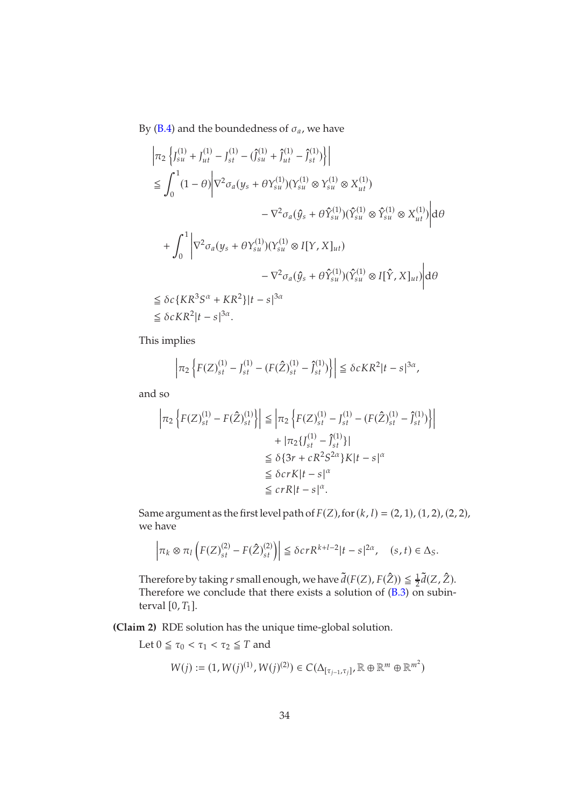By [\(B.4\)](#page-31-0) and the boundedness of  $\sigma_a$ , we have

$$
\begin{split}\n\left| \pi_{2} \left\{ J_{su}^{(1)} + J_{ut}^{(1)} - J_{st}^{(1)} - (\hat{J}_{su}^{(1)} + \hat{J}_{ut}^{(1)} - \hat{J}_{st}^{(1)}) \right\} \right| \\
&\leq \int_{0}^{1} (1 - \theta) \left| \nabla^{2} \sigma_{a} (y_{s} + \theta Y_{su}^{(1)}) (Y_{su}^{(1)} \otimes Y_{su}^{(1)} \otimes X_{ut}^{(1)}) \right. \\
&\quad \left. - \nabla^{2} \sigma_{a} (\hat{y}_{s} + \theta \hat{Y}_{su}^{(1)}) (\hat{Y}_{su}^{(1)} \otimes \hat{Y}_{su}^{(1)} \otimes X_{ut}^{(1)}) \right| d\theta \\
&+ \int_{0}^{1} \left| \nabla^{2} \sigma_{a} (y_{s} + \theta Y_{su}^{(1)}) (Y_{su}^{(1)} \otimes I[Y, X]_{ut}) \right. \\
&\quad \left. - \nabla^{2} \sigma_{a} (\hat{y}_{s} + \theta \hat{Y}_{su}^{(1)}) (\hat{Y}_{su}^{(1)} \otimes I[\hat{Y}, X]_{ut}) \right| d\theta \\
&\leq \delta c \{ K R^{3} S^{\alpha} + K R^{2} \} |t - s|^{3\alpha} \\
&\leq \delta c K R^{2} |t - s|^{3\alpha}.\n\end{split}
$$

This implies

$$
\left|\pi_2 \left\{ F(Z)_{st}^{(1)} - J_{st}^{(1)} - (F(\hat{Z})_{st}^{(1)} - \hat{J}_{st}^{(1)}) \right\} \right| \leq \delta c K R^2 |t - s|^{3\alpha},
$$

and so

$$
\left| \pi_2 \left\{ F(Z)_{st}^{(1)} - F(\hat{Z})_{st}^{(1)} \right\} \right| \leq \left| \pi_2 \left\{ F(Z)_{st}^{(1)} - J_{st}^{(1)} - (F(\hat{Z})_{st}^{(1)} - \hat{J}_{st}^{(1)}) \right\} \right|
$$
  
+ 
$$
\left| \pi_2 \{ J_{st}^{(1)} - \hat{J}_{st}^{(1)} \} \right|
$$
  

$$
\leq \delta \{ 3r + cR^2 S^{2\alpha} \} K |t - s|^{\alpha}
$$
  

$$
\leq c r R |t - s|^{\alpha}.
$$

Same argument as the first level path of  $F(Z)$ , for  $(k, l) = (2, 1)$ ,  $(1, 2)$ ,  $(2, 2)$ , we have

$$
\left|\pi_k \otimes \pi_l \left(F(Z)^{(2)}_{st}-F(\hat Z)^{(2)}_{st}\right)\right| \leq \delta cr R^{k+l-2} |t-s|^{2\alpha}, \quad (s,t) \in \Delta_S.
$$

Therefore by taking r small enough, we have  $\tilde{d}(F(Z), F(\hat{Z})) \leq \frac{1}{2}$  $\frac{1}{2}d(Z,Z)$ . Therefore we conclude that there exists a solution of [\(B.3\)](#page-30-1) on subinterval  $[0, T_1]$ .

**(Claim 2)** RDE solution has the unique time-global solution.

Let  $0 \leq \tau_0 < \tau_1 < \tau_2 \leq T$  and

$$
W(j):=(1,W(j)^{(1)},W(j)^{(2)})\in C(\Delta_{[\tau_{j-1},\tau_j]},\mathbb{R}\oplus\mathbb{R}^m\oplus\mathbb{R}^{m^2})
$$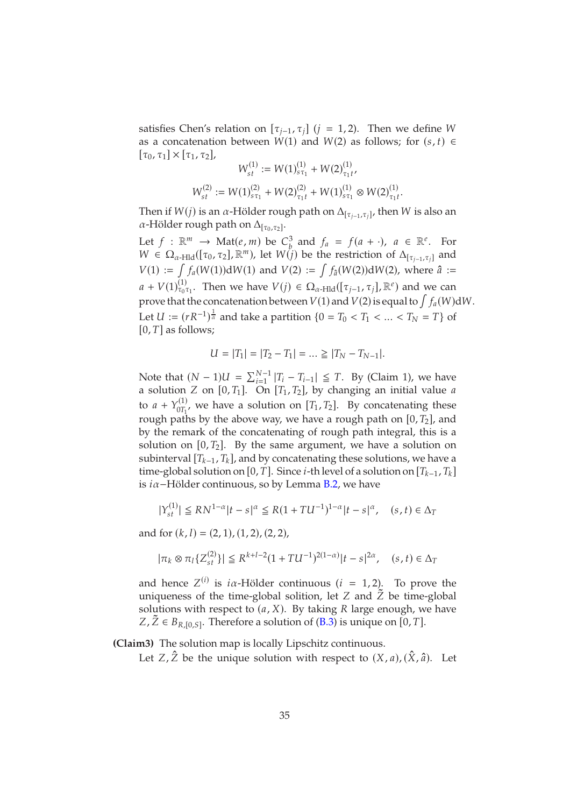satisfies Chen's relation on  $[\tau_{i-1}, \tau_i]$  ( $i = 1, 2$ ). Then we define W as a concatenation between  $W(1)$  and  $W(2)$  as follows; for  $(s, t) \in$  $[\tau_0, \tau_1] \times [\tau_1, \tau_2],$  $\sim$ 

$$
W_{st}^{(1)} := W(1)_{s\tau_1}^{(1)} + W(2)_{\tau_1 t}^{(1)},
$$
  

$$
W_{st}^{(2)} := W(1)_{s\tau_1}^{(2)} + W(2)_{\tau_1 t}^{(2)} + W(1)_{s\tau_1}^{(1)} \otimes W(2)_{\tau_1 t}^{(1)}.
$$

Then if  $W(j)$  is an  $\alpha$ -Hölder rough path on  $\Delta_{[\tau_{j-1},\tau_j]}$ , then  $W$  is also an  $\alpha$ -Hölder rough path on  $\Delta_{[\tau_0,\tau_2]}$ .

Let  $f : \mathbb{R}^m \to \text{Mat}(e, m)$  be  $C_b^3$  $\frac{3}{b}$  and  $f_a = f(a + \cdot)$ ,  $a \in \mathbb{R}^e$ . For  $W \in \Omega_{\alpha\text{-Hld}}([\tau_0, \tau_2], \mathbb{R}^m)$ , let  $W(j)$  be the restriction of  $\Delta_{[\tau_{j-1}, \tau_j]}$  and  $V(1) := \int f_a(W(1)) dW(1)$  and  $V(2) := \int f_a(W(2)) dW(2)$ , where  $\hat{a} :=$  $a + V(1)_{\tau_0 \tau_1}^{(1)}$ . Then we have  $V(j) \in \Omega_{\alpha}$ -Hld $([\tau_{j-1}, \tau_j], \mathbb{R}^e)$  and we can prove that the concatenation between  $V(1)$  and  $V(2)$  is equal to  $\int f_a(W)dW$ . Let  $U := (rR^{-1})^{\frac{1}{\alpha}}$  and take a partition  $\{0 = T_0 < T_1 < \ldots < T_N = T\}$  of  $[0, T]$  as follows;

$$
U = |T_1| = |T_2 - T_1| = \dots \ge |T_N - T_{N-1}|.
$$

Note that  $(N-1)U = \sum_{i=1}^{N-1} |T_i - T_{i-1}| \leq T$ . By (Claim 1), we have a solution *Z* on [0, *T*<sub>1</sub>]. On [*T*<sub>1</sub>, *T*<sub>2</sub>], by changing an initial value *a* to  $a + Y_{0T_1}^{(1)}$  $_{0T_1}^{(1)}$ , we have a solution on  $[T_1, T_2]$ . By concatenating these rough paths by the above way, we have a rough path on  $[0, T<sub>2</sub>]$ , and by the remark of the concatenating of rough path integral, this is a solution on  $[0, T_2]$ . By the same argument, we have a solution on subinterval  $[T_{k-1}, T_k]$ , and by concatenating these solutions, we have a time-global solution on [0, T]. Since *i*-th level of a solution on  $[T_{k-1}, T_k]$ is  $i\alpha$ −Hölder continuous, so by Lemma [B.2,](#page-28-1) we have

$$
|Y_{st}^{(1)}| \le RN^{1-\alpha}|t-s|^{\alpha} \le R(1+TU^{-1})^{1-\alpha}|t-s|^{\alpha}, \quad (s,t) \in \Delta_T
$$

and for  $(k, l) = (2, 1), (1, 2), (2, 2),$ 

$$
|\pi_k \otimes \pi_l \{Z_{st}^{(2)}\}| \le R^{k+l-2} (1+T U^{-1})^{2(1-\alpha)} |t-s|^{2\alpha}, \quad (s,t) \in \Delta_T
$$

and hence  $Z^{(i)}$  is  $i\alpha$ -Hölder continuous ( $i = 1, 2$ ). To prove the uniqueness of the time-global solition, let  $Z$  and  $\tilde{Z}$  be time-global solutions with respect to  $(a, X)$ . By taking R large enough, we have  $Z, Z \in B_{R,[0,S]}$ . Therefore a solution of [\(B.3\)](#page-30-1) is unique on [0, T].

**(Claim3)** The solution map is locally Lipschitz continuous.

Let  $Z$ ,  $\hat{Z}$  be the unique solution with respect to  $(X, a)$ ,  $(\hat{X}, \hat{a})$ . Let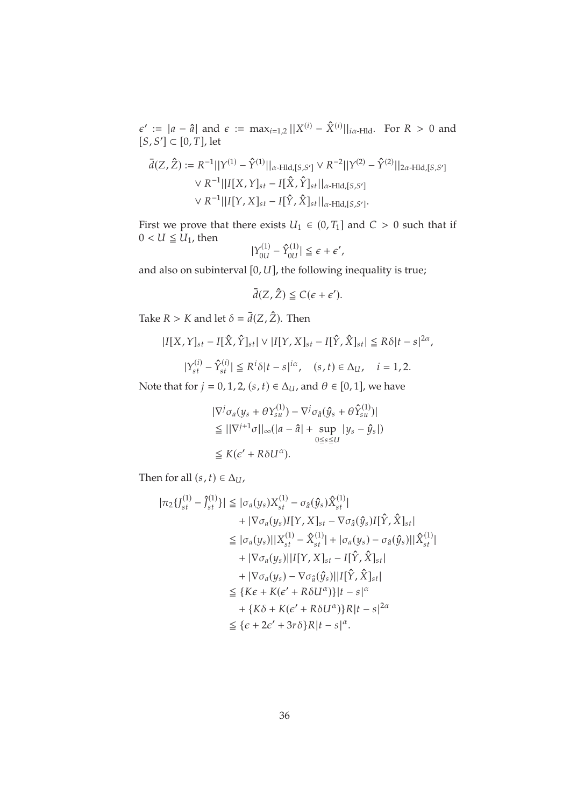$\epsilon' := |a - \hat{a}|$  and  $\epsilon := \max_{i=1,2} ||X^{(i)} - \hat{X}^{(i)}||_{i\alpha + \text{Hld}}$ . For  $R > 0$  and  $[S, S'] \subset [0, T]$ , let

$$
\bar{d}(Z, \hat{Z}) := R^{-1}||Y^{(1)} - \hat{Y}^{(1)}||_{\alpha \text{-Hld}, [S, S']} \vee R^{-2}||Y^{(2)} - \hat{Y}^{(2)}||_{2\alpha \text{-Hld}, [S, S']}
$$
\n
$$
\vee R^{-1}||I[X, Y]_{st} - I[\hat{X}, \hat{Y}]_{st}||_{\alpha \text{-Hld}, [S, S']}
$$
\n
$$
\vee R^{-1}||I[Y, X]_{st} - I[\hat{Y}, \hat{X}]_{st}||_{\alpha \text{-Hld}, [S, S']}.
$$

First we prove that there exists  $U_1 \in (0, T_1]$  and  $C > 0$  such that if  $0 < U \leq U_1$ , then

$$
|Y_{0U}^{(1)} - \hat{Y}_{0U}^{(1)}| \leq \epsilon + \epsilon',
$$

and also on subinterval  $[0, U]$ , the following inequality is true;

 $\bar{d}(Z, \hat{Z}) \leq C(\epsilon + \epsilon').$ 

Take  $R > K$  and let  $\delta = \overline{d}(Z, \hat{Z})$ . Then

$$
|I[X,Y]_{st} - I[\hat{X}, \hat{Y}]_{st}| \vee |I[Y,X]_{st} - I[\hat{Y}, \hat{X}]_{st}| \le R\delta|t - s|^{2\alpha},
$$
  

$$
|Y_{st}^{(i)} - \hat{Y}_{st}^{(i)}| \le R^i \delta|t - s|^{i\alpha}, \quad (s,t) \in \Delta_U, \quad i = 1,2.
$$

Note that for  $j = 0, 1, 2, (s, t) \in \Delta_U$ , and  $\theta \in [0, 1]$ , we have

$$
|\nabla^{j} \sigma_{a}(y_{s} + \theta Y_{su}^{(1)}) - \nabla^{j} \sigma_{\hat{a}}(\hat{y}_{s} + \theta \hat{Y}_{su}^{(1)})|
$$
  
\n
$$
\leq ||\nabla^{j+1} \sigma||_{\infty} (|a - \hat{a}| + \sup_{0 \leq s \leq U} |y_{s} - \hat{y}_{s}|)
$$
  
\n
$$
\leq K(\epsilon' + R\delta U^{\alpha}).
$$

Then for all  $(s, t) \in \Delta_U$ ,

$$
|\pi_2\{J_{st}^{(1)} - \hat{J}_{st}^{(1)}\}| \leq |\sigma_a(y_s)X_{st}^{(1)} - \sigma_{\hat{a}}(\hat{y}_s)\hat{X}_{st}^{(1)}|
$$
  
+  $|\nabla\sigma_a(y_s)[[Y, X]_{st} - \nabla\sigma_{\hat{a}}(\hat{y}_s)[[\hat{Y}, \hat{X}]_{st}]|$   
 $\leq |\sigma_a(y_s)||X_{st}^{(1)} - \hat{X}_{st}^{(1)}| + |\sigma_a(y_s) - \sigma_{\hat{a}}(\hat{y}_s)||\hat{X}_{st}^{(1)}|$   
+  $|\nabla\sigma_a(y_s)||I[Y, X]_{st} - I[\hat{Y}, \hat{X}]_{st}|$   
+  $|\nabla\sigma_a(y_s) - \nabla\sigma_{\hat{a}}(\hat{y}_s)||I[\hat{Y}, \hat{X}]_{st}|$   
 $\leq \{K\varepsilon + K(\varepsilon' + R\delta U^{\alpha})\}|t - s|^{\alpha}$   
+  $\{K\delta + K(\varepsilon' + R\delta U^{\alpha})\}R|t - s|^{2\alpha}$   
 $\leq \{\varepsilon + 2\varepsilon' + 3r\delta\}R|t - s|^{\alpha}.$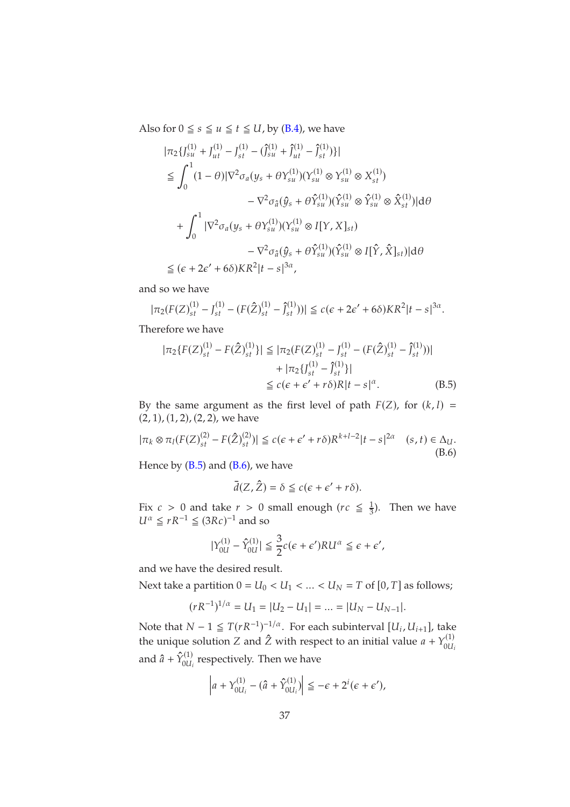Also for  $0 \le s \le u \le t \le U$ , by [\(B.4\)](#page-31-0), we have

$$
|\pi_2 \{ J_{su}^{(1)} + J_{ut}^{(1)} - J_{st}^{(1)} - (\hat{J}_{su}^{(1)} + \hat{J}_{ut}^{(1)} - \hat{J}_{st}^{(1)}) \}|
$$
  
\n
$$
\leq \int_0^1 (1 - \theta) |\nabla^2 \sigma_a (y_s + \theta Y_{su}^{(1)}) (Y_{su}^{(1)} \otimes Y_{su}^{(1)} \otimes X_{st}^{(1)})
$$
  
\n
$$
- \nabla^2 \sigma_{\hat{a}} (\hat{y}_s + \theta \hat{Y}_{su}^{(1)}) (\hat{Y}_{su}^{(1)} \otimes \hat{Y}_{su}^{(1)} \otimes \hat{X}_{st}^{(1)}) | d\theta
$$
  
\n
$$
+ \int_0^1 |\nabla^2 \sigma_a (y_s + \theta Y_{su}^{(1)}) (Y_{su}^{(1)} \otimes I[Y, X]_{st})
$$
  
\n
$$
- \nabla^2 \sigma_{\hat{a}} (\hat{y}_s + \theta \hat{Y}_{su}^{(1)}) (\hat{Y}_{su}^{(1)} \otimes I[\hat{Y}, \hat{X}]_{st}) | d\theta
$$
  
\n
$$
\leq (\epsilon + 2\epsilon' + 6\delta) KR^2 | t - s|^{3\alpha},
$$

and so we have

$$
|\pi_2(F(Z)_{st}^{(1)} - J_{st}^{(1)} - (F(\hat{Z})_{st}^{(1)} - \hat{J}_{st}^{(1)}))| \le c(\epsilon + 2\epsilon' + 6\delta)KR^2|t - s|^{3\alpha}.
$$

Therefore we have

$$
|\pi_2\{F(Z)_{st}^{(1)} - F(\hat{Z})_{st}^{(1)}\}| \leq |\pi_2(F(Z)_{st}^{(1)} - J_{st}^{(1)} - (F(\hat{Z})_{st}^{(1)} - \hat{J}_{st}^{(1)}))|
$$
  
+  $|\pi_2\{J_{st}^{(1)} - \hat{J}_{st}^{(1)}\}|$   
 $\leq c(\epsilon + \epsilon' + r\delta)R|t - s|^{\alpha}.$  (B.5)

By the same argument as the first level of path  $F(Z)$ , for  $(k, l)$  =  $(2, 1), (1, 2), (2, 2),$  we have

<span id="page-36-1"></span>
$$
|\pi_k \otimes \pi_l(F(Z)_{st}^{(2)} - F(\hat{Z})_{st}^{(2)})| \le c(\epsilon + \epsilon' + r\delta)R^{k+l-2}|t - s|^{2\alpha} \quad (s, t) \in \Delta_U.
$$
\n(B.6)

Hence by  $(B.5)$  and  $(B.6)$ , we have

<span id="page-36-0"></span>
$$
\bar{d}(Z,\hat{Z}) = \delta \leq c(\epsilon + \epsilon' + r\delta).
$$

Fix  $c > 0$  and take  $r > 0$  small enough ( $rc \leq \frac{1}{3}$  $\frac{1}{3}$ ). Then we have  $U^{\alpha} \leq rR^{-1} \leq (3Rc)^{-1}$  and so

$$
|\Upsilon_{0U}^{(1)} - \hat{\Upsilon}_{0U}^{(1)}| \leq \frac{3}{2}c(\epsilon + \epsilon')RU^{\alpha} \leq \epsilon + \epsilon',
$$

and we have the desired result.

Next take a partition  $0 = U_0 < U_1 < ... < U_N = T$  of  $[0, T]$  as follows;

$$
(rR^{-1})^{1/\alpha} = U_1 = |U_2 - U_1| = \dots = |U_N - U_{N-1}|.
$$

Note that  $N-1 \leq T(rR^{-1})^{-1/\alpha}$ . For each subinterval  $[U_i, U_{i+1}]$ , take the unique solution Z and  $\hat{Z}$  with respect to an initial value  $a + Y_{0U_i}^{(1)}$ 0 $\mathcal{U}_i$ and  $\hat{a} + \hat{Y}_{0U_i}^{(1)}$  $\chi_{0U_i}^{(1)}$  respectively. Then we have

$$
\left|a+\Upsilon_{0U_i}^{(1)}-(\hat{a}+\hat{\Upsilon}_{0U_i}^{(1)})\right|\leq-\epsilon+2^i(\epsilon+\epsilon'),
$$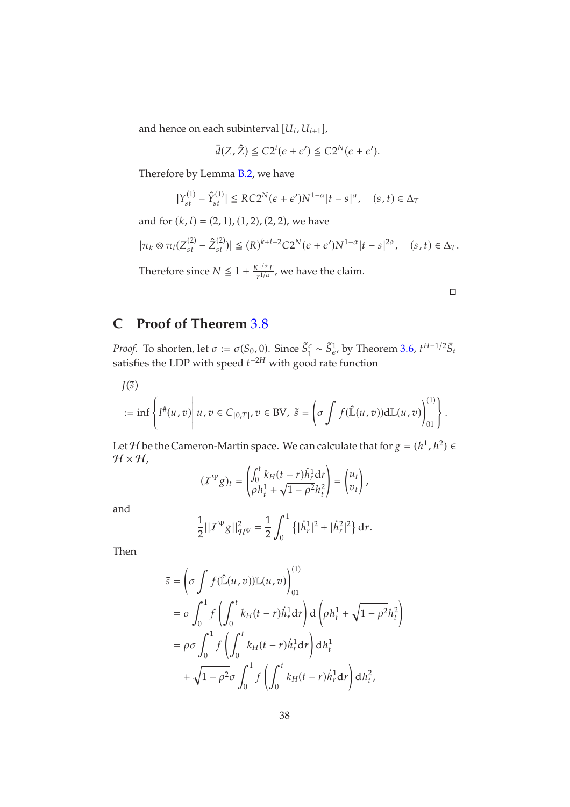and hence on each subinterval  $[U_i, U_{i+1}]$ ,

$$
\bar{d}(Z,\hat{Z}) \leq C2^{i}(\epsilon + \epsilon') \leq C2^{N}(\epsilon + \epsilon').
$$

Therefore by Lemma [B.2,](#page-28-1) we have

$$
|Y_{st}^{(1)} - \hat{Y}_{st}^{(1)}| \le RC2^N(\epsilon + \epsilon')N^{1-\alpha}|t - s|^{\alpha}, \quad (s, t) \in \Delta_T
$$

and for  $(k, l) = (2, 1), (1, 2), (2, 2)$ , we have

$$
|\pi_k \otimes \pi_l(Z_{st}^{(2)} - \hat{Z}_{st}^{(2)})| \leq (R)^{k+l-2} C 2^N (\epsilon + \epsilon') N^{1-\alpha} |t-s|^{2\alpha}, \quad (s, t) \in \Delta_T.
$$

Therefore since  $N \leq 1 + \frac{K^{1/\alpha}T}{r^{1/\alpha}}$  $\frac{1}{r^{1/\alpha}}$ , we have the claim.

# **C Proof of Theorem** [3](#page-8-2).8

*Proof.* To shorten, let  $\sigma := \sigma(S_0, 0)$ . Since  $\tilde{S}_1^{\epsilon} \sim \tilde{S}_{\epsilon}^1$ , by Theorem 3.[6,](#page-8-1)  $t^{H-1/2} \bar{S}_t$ satisfies the LDP with speed  $t^{-2H}$  with good rate function

 $J(\tilde{s})$ 

$$
:=\inf\left\{I^{\#}(u,v)\middle|\ u,v\in C_{[0,T]}, v\in\text{BV},\ \tilde{s}=\left(\sigma\int f(\hat{\mathbb{L}}(u,v))\mathrm{d}\mathbb{L}(u,v)\right)^{(1)}_{01}\right\}.
$$

Let *H* be the Cameron-Martin space. We can calculate that for  $g = (h^1, h^2) \in$  $H \times H$ ,

$$
(T^{\Psi}g)_t = \begin{pmatrix} \int_0^t k_H(t-r)\dot{h}_r^1 dr \\ \rho h_t^1 + \sqrt{1-\rho^2}h_t^2 \end{pmatrix} = \begin{pmatrix} u_t \\ v_t \end{pmatrix},
$$

and

$$
\frac{1}{2}||T^{\Psi}g||_{\mathcal{H}^{\Psi}}^{2} = \frac{1}{2}\int_{0}^{1} \left\{ |\dot{h}_{r}^{1}|^{2} + |\dot{h}_{r}^{2}|^{2} \right\} d r.
$$

Then

$$
\tilde{s} = \left(\sigma \int f(\hat{\mathbb{L}}(u,v)) \mathbb{L}(u,v)\right)_{01}^{(1)}
$$
  
\n
$$
= \sigma \int_0^1 f\left(\int_0^t k_H(t-r)\dot{h}_r^1 dr\right) d\left(\rho h_t^1 + \sqrt{1 - \rho^2} h_t^2\right)
$$
  
\n
$$
= \rho \sigma \int_0^1 f\left(\int_0^t k_H(t-r)\dot{h}_r^1 dr\right) dh_t^1
$$
  
\n
$$
+ \sqrt{1 - \rho^2} \sigma \int_0^1 f\left(\int_0^t k_H(t-r)\dot{h}_r^1 dr\right) dh_t^2,
$$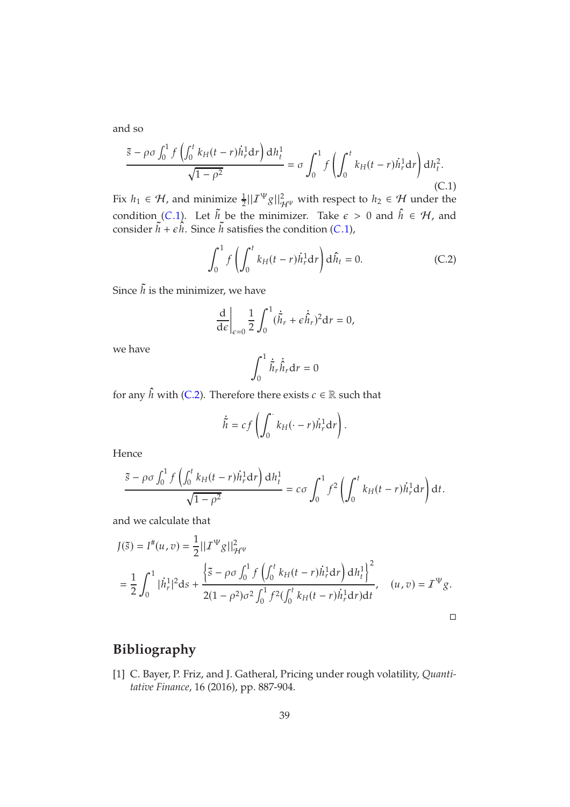and so

<span id="page-38-1"></span>
$$
\frac{\tilde{s} - \rho \sigma \int_0^1 f\left(\int_0^t k_H(t - r) \dot{h}_r^1 dr\right) dh_t^1}{\sqrt{1 - \rho^2}} = \sigma \int_0^1 f\left(\int_0^t k_H(t - r) \dot{h}_r^1 dr\right) dh_t^2.
$$
\n(C.1)

Fix  $h_1 \in \mathcal{H}$ , and minimize  $\frac{1}{2}||\mathcal{I}^{\Psi}g||_{\mathcal{H}^{\Psi}}^2$  with respect to  $h_2 \in \mathcal{H}$  under the condition (C.1). Let  $\tilde{h}$  be the minimizer. Take  $\epsilon > 0$  and  $\hat{h} \in \mathcal{H}$ , and consider  $h + \epsilon h$ . Since  $h$  satisfies the condition (C.1),

<span id="page-38-2"></span>
$$
\int_0^1 f\left(\int_0^t k_H(t-r)\dot{h}_r^1 dr\right) d\hat{h}_t = 0.
$$
 (C.2)

Since  $\tilde{h}$  is the minimizer, we have

$$
\frac{\mathrm{d}}{\mathrm{d}\epsilon}\bigg|_{\epsilon=0} \frac{1}{2} \int_0^1 (\dot{\tilde{h}}_r + \epsilon \dot{\hat{h}}_r)^2 \mathrm{d}r = 0,
$$

we have

$$
\int_0^1 \dot{\tilde{h}}_r \dot{\hat{h}}_r \mathrm{d}r = 0
$$

for any  $\hat{h}$  with [\(C.2\)](#page-38-2). Therefore there exists  $c \in \mathbb{R}$  such that

$$
\dot{\tilde{h}} = cf\left(\int_0^{\cdot} k_H(\cdot - r) \dot{h}_r^1 dr\right).
$$

Hence

$$
\frac{\tilde{s} - \rho \sigma \int_0^1 f\left(\int_0^t k_H(t-r) \dot{h}_r^1 dr\right) dh_t^1}{\sqrt{1 - \rho^2}} = c\sigma \int_0^1 f^2 \left(\int_0^t k_H(t-r) \dot{h}_r^1 dr\right) dt.
$$

and we calculate that

$$
J(\tilde{s}) = I^{\#}(u, v) = \frac{1}{2} ||T^{\Psi}g||_{\mathcal{H}^{\Psi}}^2
$$
  
= 
$$
\frac{1}{2} \int_0^1 |\dot{h}_r^1|^2 ds + \frac{\left\{\tilde{s} - \rho \sigma \int_0^1 f\left(\int_0^t k_H(t-r) \dot{h}_r^1 dr\right) dh_t^1\right\}^2}{2(1 - \rho^2) \sigma^2 \int_0^1 f^2(\int_0^t k_H(t-r) \dot{h}_r^1 dr) dt}, \quad (u, v) = I^{\Psi}g.
$$

 $\Box$ 

# <span id="page-38-0"></span>**Bibliography**

[1] C. Bayer, P. Friz, and J. Gatheral, Pricing under rough volatility, *Quantitative Finance*, 16 (2016), pp. 887-904.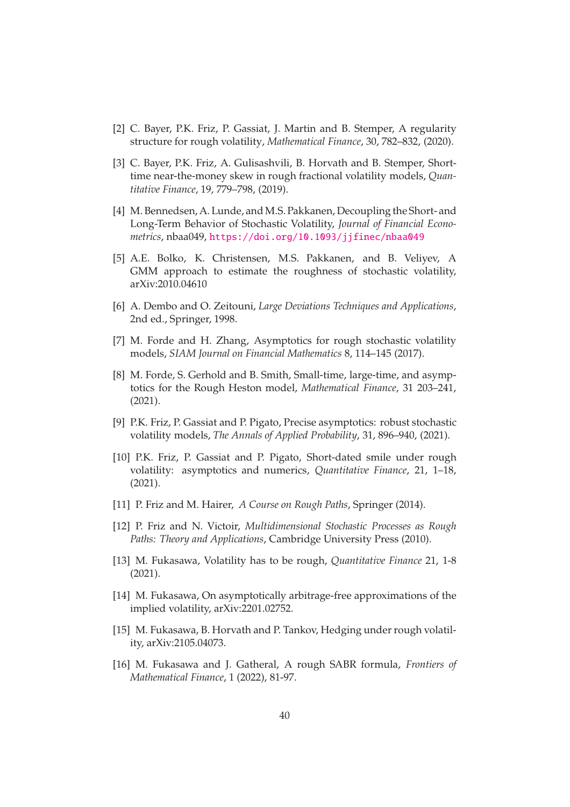- <span id="page-39-3"></span><span id="page-39-2"></span>[2] C. Bayer, P.K. Friz, P. Gassiat, J. Martin and B. Stemper, A regularity structure for rough volatility, *Mathematical Finance*, 30, 782–832, (2020).
- [3] C. Bayer, P.K. Friz, A. Gulisashvili, B. Horvath and B. Stemper, Shorttime near-the-money skew in rough fractional volatility models, *Quantitative Finance*, 19, 779–798, (2019).
- <span id="page-39-6"></span>[4] M. Bennedsen, A. Lunde, and M.S. Pakkanen, Decoupling the Short- and Long-Term Behavior of Stochastic Volatility, *Journal of Financial Econometrics*, nbaa049, <https://doi.org/10.1093/jjfinec/nbaa049>
- <span id="page-39-7"></span>[5] A.E. Bolko, K. Christensen, M.S. Pakkanen, and B. Veliyev, A GMM approach to estimate the roughness of stochastic volatility, arXiv:2010.04610
- <span id="page-39-13"></span><span id="page-39-1"></span>[6] A. Dembo and O. Zeitouni, *Large Deviations Techniques and Applications*, 2nd ed., Springer, 1998.
- [7] M. Forde and H. Zhang, Asymptotics for rough stochastic volatility models, *SIAM Journal on Financial Mathematics* 8, 114–145 (2017).
- [8] M. Forde, S. Gerhold and B. Smith, Small-time, large-time, and asymptotics for the Rough Heston model, *Mathematical Finance*, 31 203–241, (2021).
- <span id="page-39-4"></span>[9] P.K. Friz, P. Gassiat and P. Pigato, Precise asymptotics: robust stochastic volatility models, *The Annals of Applied Probability*, 31, 896–940, (2021).
- <span id="page-39-5"></span>[10] P.K. Friz, P. Gassiat and P. Pigato, Short-dated smile under rough volatility: asymptotics and numerics, *Quantitative Finance*, 21, 1–18, (2021).
- <span id="page-39-12"></span><span id="page-39-11"></span>[11] P. Friz and M. Hairer, *A Course on Rough Paths*, Springer (2014).
- [12] P. Friz and N. Victoir, *Multidimensional Stochastic Processes as Rough Paths: Theory and Applications*, Cambridge University Press (2010).
- <span id="page-39-0"></span>[13] M. Fukasawa, Volatility has to be rough, *Quantitative Finance* 21, 1-8 (2021).
- <span id="page-39-10"></span>[14] M. Fukasawa, On asymptotically arbitrage-free approximations of the implied volatility, arXiv:2201.02752.
- <span id="page-39-8"></span>[15] M. Fukasawa, B. Horvath and P. Tankov, Hedging under rough volatility, arXiv:2105.04073.
- <span id="page-39-9"></span>[16] M. Fukasawa and J. Gatheral, A rough SABR formula, *Frontiers of Mathematical Finance*, 1 (2022), 81-97.